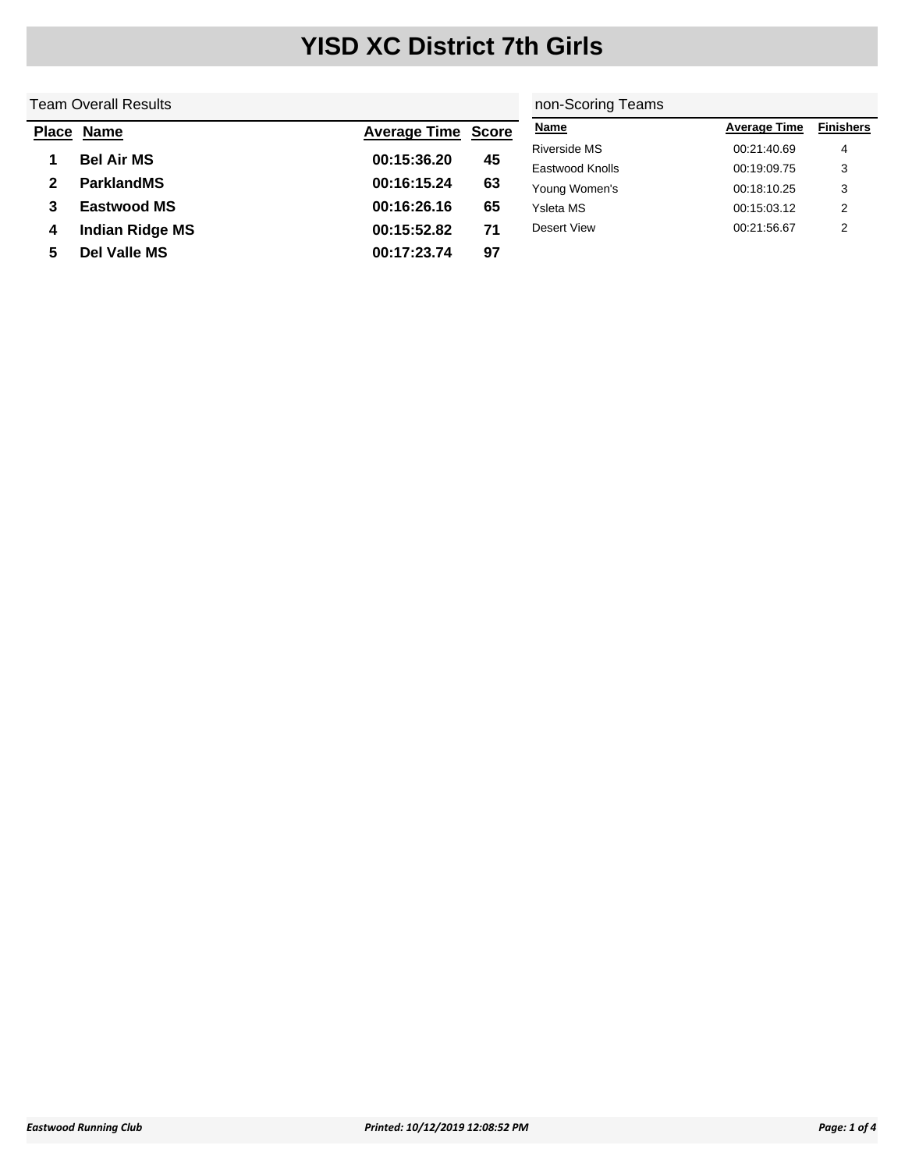#### Team Overall Results **Place Name Average Time Score 1 Bel Air MS 00:15:36.20 45 2 ParklandMS 00:16:15.24 63 3 Eastwood MS 00:16:26.16 65 4 Indian Ridge MS 00:15:52.82 71 5 Del Valle MS 00:17:23.74 97** non-Scoring Teams **Name Average Time Finishers** Riverside MS 00:21:40.69 4 Eastwood Knolls **60:19:09.75** 3 Young Women's 00:18:10.25 3 Ysleta MS 00:15:03.12 2 Desert View 00:21:56.67 2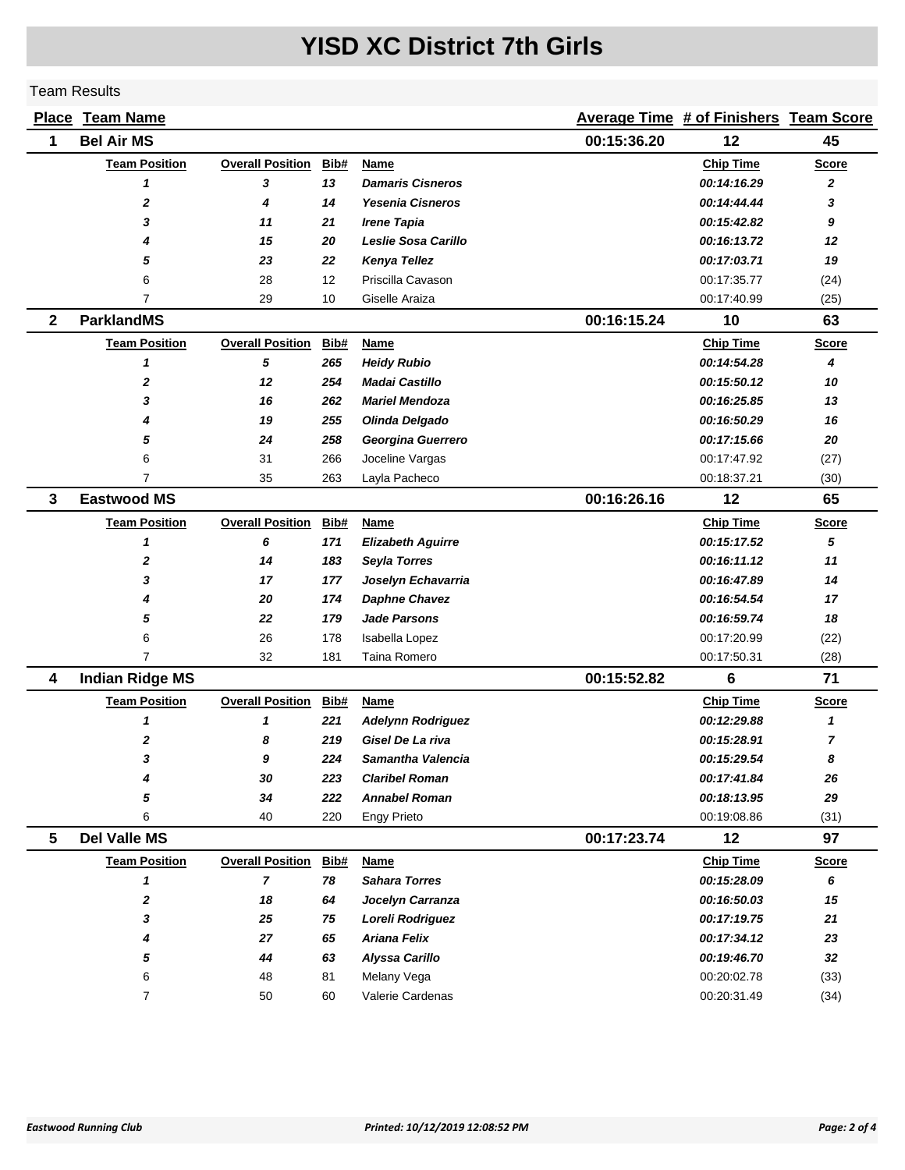|                | <b>Place Team Name</b> |                         |      |                          |             | <b>Average Time # of Finishers Team Score</b> |                |
|----------------|------------------------|-------------------------|------|--------------------------|-------------|-----------------------------------------------|----------------|
| 1              | <b>Bel Air MS</b>      |                         |      |                          | 00:15:36.20 | 12                                            | 45             |
|                | <b>Team Position</b>   | <b>Overall Position</b> | Bib# | Name                     |             | <b>Chip Time</b>                              | <b>Score</b>   |
|                | 1                      | 3                       | 13   | <b>Damaris Cisneros</b>  |             | 00:14:16.29                                   | 2              |
|                | $\mathbf{z}$           | 4                       | 14   | <b>Yesenia Cisneros</b>  |             | 00:14:44.44                                   | 3              |
|                | 3                      | 11                      | 21   | <b>Irene Tapia</b>       |             | 00:15:42.82                                   | 9              |
|                | 4                      | 15                      | 20   | Leslie Sosa Carillo      |             | 00:16:13.72                                   | 12             |
|                | 5                      | 23                      | 22   | Kenya Tellez             |             | 00:17:03.71                                   | 19             |
|                | 6                      | 28                      | 12   | Priscilla Cavason        |             | 00:17:35.77                                   | (24)           |
|                | 7                      | 29                      | 10   | Giselle Araiza           |             | 00:17:40.99                                   | (25)           |
| $\overline{2}$ | <b>ParklandMS</b>      |                         |      |                          | 00:16:15.24 | 10                                            | 63             |
|                | <b>Team Position</b>   | <b>Overall Position</b> | Bib# | Name                     |             | <b>Chip Time</b>                              | <b>Score</b>   |
|                | 1                      | 5                       | 265  | <b>Heidy Rubio</b>       |             | 00:14:54.28                                   | 4              |
|                | $\mathbf 2$            | 12                      | 254  | Madai Castillo           |             | 00:15:50.12                                   | 10             |
|                | 3                      | 16                      | 262  | <b>Mariel Mendoza</b>    |             | 00:16:25.85                                   | 13             |
|                | 4                      | 19                      | 255  | Olinda Delgado           |             | 00:16:50.29                                   | 16             |
|                | 5                      | 24                      | 258  | Georgina Guerrero        |             | 00:17:15.66                                   | 20             |
|                | 6                      | 31                      | 266  | Joceline Vargas          |             | 00:17:47.92                                   | (27)           |
|                | 7                      | 35                      | 263  | Layla Pacheco            |             | 00:18:37.21                                   | (30)           |
| 3              | <b>Eastwood MS</b>     |                         |      |                          | 00:16:26.16 | 12                                            | 65             |
|                | <b>Team Position</b>   | <b>Overall Position</b> | Bib# | <b>Name</b>              |             | <b>Chip Time</b>                              | <b>Score</b>   |
|                | 1                      | 6                       | 171  | <b>Elizabeth Aguirre</b> |             | 00:15:17.52                                   | 5              |
|                | $\mathbf 2$            | 14                      | 183  | <b>Seyla Torres</b>      |             | 00:16:11.12                                   | 11             |
|                | 3                      | 17                      | 177  | Joselyn Echavarria       |             | 00:16:47.89                                   | 14             |
|                | 4                      | 20                      | 174  | <b>Daphne Chavez</b>     |             | 00:16:54.54                                   | 17             |
|                | 5                      | 22                      | 179  | <b>Jade Parsons</b>      |             | 00:16:59.74                                   | 18             |
|                | 6                      | 26                      | 178  | Isabella Lopez           |             | 00:17:20.99                                   | (22)           |
|                | $\overline{7}$         | 32                      | 181  | Taina Romero             |             | 00:17:50.31                                   | (28)           |
| 4              | <b>Indian Ridge MS</b> |                         |      |                          | 00:15:52.82 | 6                                             | 71             |
|                | <b>Team Position</b>   | <b>Overall Position</b> | Bib# | Name                     |             | <b>Chip Time</b>                              | <b>Score</b>   |
|                | 1                      | 1                       | 221  | <b>Adelynn Rodriguez</b> |             | 00:12:29.88                                   | 1              |
|                | $\boldsymbol{2}$       | 8                       | 219  | Gisel De La riva         |             | 00:15:28.91                                   | $\overline{7}$ |
|                | 3                      | 9                       | 224  | Samantha Valencia        |             | 00:15:29.54                                   | 8              |
|                | 4                      | 30                      | 223  | <b>Claribel Roman</b>    |             | 00:17:41.84                                   | 26             |
|                | 5                      | 34                      | 222  | <b>Annabel Roman</b>     |             | 00:18:13.95                                   | 29             |
|                | 6                      | 40                      | 220  | <b>Engy Prieto</b>       |             | 00:19:08.86                                   | (31)           |
| 5              | <b>Del Valle MS</b>    |                         |      |                          | 00:17:23.74 | 12                                            | 97             |
|                | <b>Team Position</b>   | <b>Overall Position</b> | Bib# | Name                     |             | <b>Chip Time</b>                              | <b>Score</b>   |
|                | 1                      | $\overline{7}$          | 78   | <b>Sahara Torres</b>     |             | 00:15:28.09                                   | 6              |
|                | $\boldsymbol{2}$       | 18                      | 64   | Jocelyn Carranza         |             | 00:16:50.03                                   | 15             |
|                | 3                      | 25                      | 75   | Loreli Rodriguez         |             | 00:17:19.75                                   | 21             |
|                | 4                      | 27                      | 65   | Ariana Felix             |             | 00:17:34.12                                   | 23             |
|                | 5                      | 44                      | 63   | Alyssa Carillo           |             | 00:19:46.70                                   | 32             |
|                | 6                      | 48                      | 81   | Melany Vega              |             | 00:20:02.78                                   | (33)           |
|                | 7                      | 50                      | 60   | Valerie Cardenas         |             | 00:20:31.49                                   | (34)           |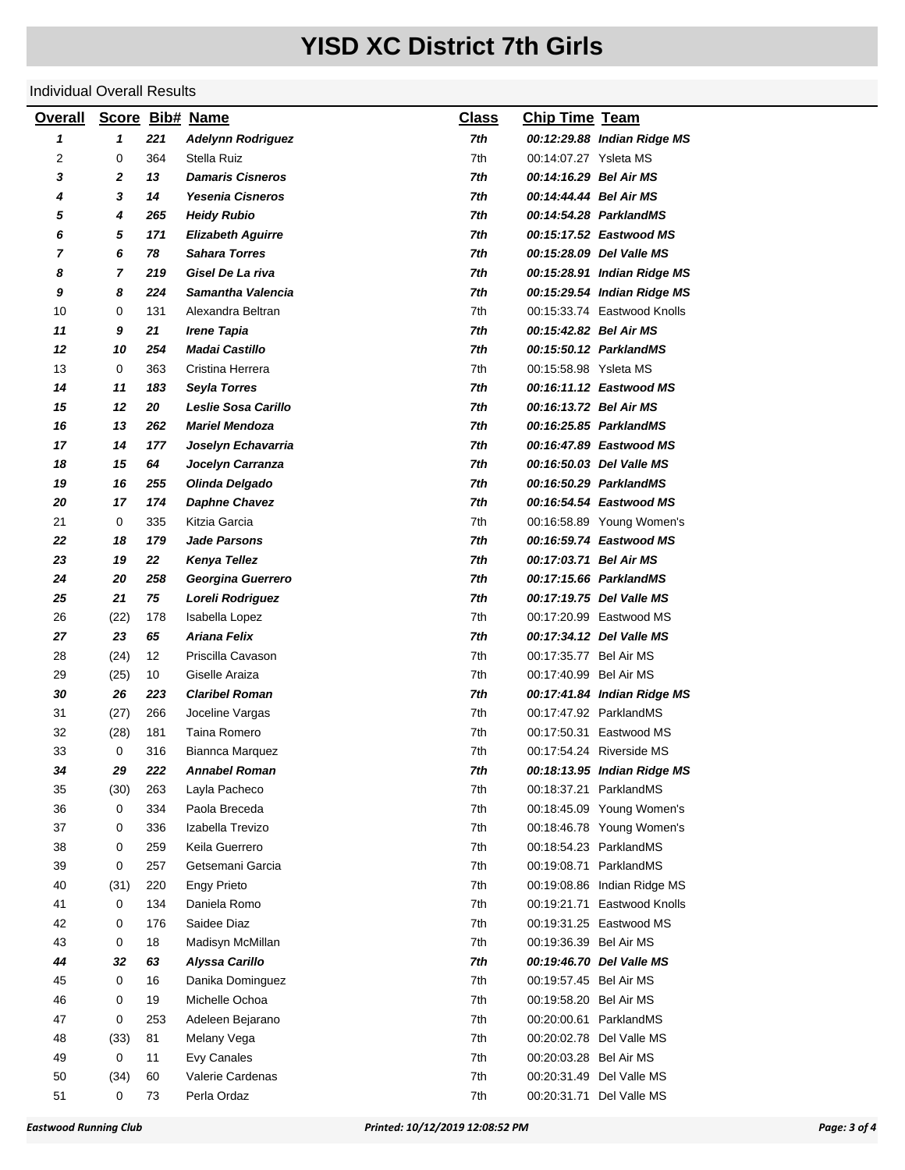| <b>Overall</b> | <b>Score</b>   |     | <b>Bib# Name</b>         | <b>Class</b> | <b>Chip Time Team</b>  |                             |
|----------------|----------------|-----|--------------------------|--------------|------------------------|-----------------------------|
| 1              | 1              | 221 | <b>Adelynn Rodriguez</b> | 7th          |                        | 00:12:29.88 Indian Ridge MS |
| 2              | 0              | 364 | Stella Ruiz              | 7th          | 00:14:07.27 Ysleta MS  |                             |
| 3              | 2              | 13  | <b>Damaris Cisneros</b>  | 7th          | 00:14:16.29 Bel Air MS |                             |
| 4              | 3              | 14  | <b>Yesenia Cisneros</b>  | 7th          | 00:14:44.44 Bel Air MS |                             |
| 5              | 4              | 265 | <b>Heidy Rubio</b>       | 7th          |                        | 00:14:54.28 ParklandMS      |
| 6              | 5              | 171 | <b>Elizabeth Aguirre</b> | 7th          |                        | 00:15:17.52 Eastwood MS     |
| 7              | 6              | 78  | <b>Sahara Torres</b>     | 7th          |                        | 00:15:28.09 Del Valle MS    |
| 8              | $\overline{7}$ | 219 | Gisel De La riva         | 7th          |                        | 00:15:28.91 Indian Ridge MS |
| 9              | 8              | 224 | Samantha Valencia        | 7th          |                        | 00:15:29.54 Indian Ridge MS |
| 10             | 0              | 131 | Alexandra Beltran        | 7th          |                        | 00:15:33.74 Eastwood Knolls |
| 11             | 9              | 21  | Irene Tapia              | 7th          | 00:15:42.82 Bel Air MS |                             |
| 12             | 10             | 254 | <b>Madai Castillo</b>    | 7th          |                        | 00:15:50.12 ParklandMS      |
| 13             | 0              | 363 | Cristina Herrera         | 7th          | 00:15:58.98 Ysleta MS  |                             |
| 14             | 11             | 183 | <b>Seyla Torres</b>      | 7th          |                        | 00:16:11.12 Eastwood MS     |
| 15             | 12             | 20  | Leslie Sosa Carillo      | 7th          | 00:16:13.72 Bel Air MS |                             |
| 16             | 13             | 262 | <b>Mariel Mendoza</b>    | 7th          |                        | 00:16:25.85 ParklandMS      |
| 17             | 14             | 177 | Joselyn Echavarria       | 7th          |                        | 00:16:47.89 Eastwood MS     |
| 18             | 15             | 64  | Jocelyn Carranza         | 7th          |                        | 00:16:50.03 Del Valle MS    |
| 19             | 16             | 255 | Olinda Delgado           | 7th          |                        | 00:16:50.29 ParklandMS      |
| 20             | 17             | 174 | <b>Daphne Chavez</b>     | 7th          |                        | 00:16:54.54 Eastwood MS     |
| 21             | 0              | 335 | Kitzia Garcia            | 7th          |                        | 00:16:58.89 Young Women's   |
| 22             | 18             | 179 | <b>Jade Parsons</b>      | 7th          |                        | 00:16:59.74 Eastwood MS     |
| 23             | 19             | 22  | Kenya Tellez             | 7th          | 00:17:03.71 Bel Air MS |                             |
| 24             | 20             | 258 | Georgina Guerrero        | 7th          |                        | 00:17:15.66 ParklandMS      |
| 25             | 21             | 75  | Loreli Rodriguez         | 7th          |                        | 00:17:19.75 Del Valle MS    |
| 26             | (22)           | 178 | Isabella Lopez           | 7th          |                        | 00:17:20.99 Eastwood MS     |
| 27             | 23             | 65  | Ariana Felix             | 7th          |                        | 00:17:34.12 Del Valle MS    |
| 28             | (24)           | 12  | Priscilla Cavason        | 7th          | 00:17:35.77 Bel Air MS |                             |
| 29             | (25)           | 10  | Giselle Araiza           | 7th          | 00:17:40.99 Bel Air MS |                             |
| 30             | 26             | 223 | <b>Claribel Roman</b>    | 7th          |                        | 00:17:41.84 Indian Ridge MS |
| 31             | (27)           | 266 | Joceline Vargas          | 7th          | 00:17:47.92 ParklandMS |                             |
| 32             | (28)           | 181 | Taina Romero             | 7th          |                        | 00:17:50.31 Eastwood MS     |
| 33             | 0              | 316 | Biannca Marquez          | 7th          |                        | 00:17:54.24 Riverside MS    |
| 34             | 29             | 222 | Annabel Roman            | 7th          |                        | 00:18:13.95 Indian Ridge MS |
| 35             | (30)           | 263 | Layla Pacheco            | 7th          | 00:18:37.21 ParklandMS |                             |
| 36             | 0              | 334 | Paola Breceda            | 7th          |                        | 00:18:45.09 Young Women's   |
| 37             | 0              | 336 | Izabella Trevizo         | 7th          |                        | 00:18:46.78 Young Women's   |
| 38             | 0              | 259 | Keila Guerrero           | 7th          | 00:18:54.23 ParklandMS |                             |
| 39             | 0              | 257 | Getsemani Garcia         | 7th          | 00:19:08.71 ParklandMS |                             |
| 40             | (31)           | 220 | <b>Engy Prieto</b>       | 7th          |                        | 00:19:08.86 Indian Ridge MS |
| 41             | 0              | 134 | Daniela Romo             | 7th          |                        | 00:19:21.71 Eastwood Knolls |
| 42             | 0              | 176 | Saidee Diaz              | 7th          |                        | 00:19:31.25 Eastwood MS     |
| 43             | 0              | 18  | Madisyn McMillan         | 7th          | 00:19:36.39 Bel Air MS |                             |
| 44             | 32             | 63  | <b>Alyssa Carillo</b>    | 7th          |                        | 00:19:46.70 Del Valle MS    |
| 45             | 0              | 16  | Danika Dominguez         | 7th          | 00:19:57.45 Bel Air MS |                             |
| 46             | 0              | 19  | Michelle Ochoa           | 7th          | 00:19:58.20 Bel Air MS |                             |
| 47             | 0              | 253 | Adeleen Bejarano         | 7th          | 00:20:00.61 ParklandMS |                             |
| 48             | (33)           | 81  | Melany Vega              | 7th          |                        | 00:20:02.78 Del Valle MS    |
| 49             | 0              | 11  | Evy Canales              | 7th          | 00:20:03.28 Bel Air MS |                             |
| 50             | (34)           | 60  | Valerie Cardenas         | 7th          |                        | 00:20:31.49 Del Valle MS    |
| 51             | 0              | 73  | Perla Ordaz              | 7th          |                        | 00:20:31.71 Del Valle MS    |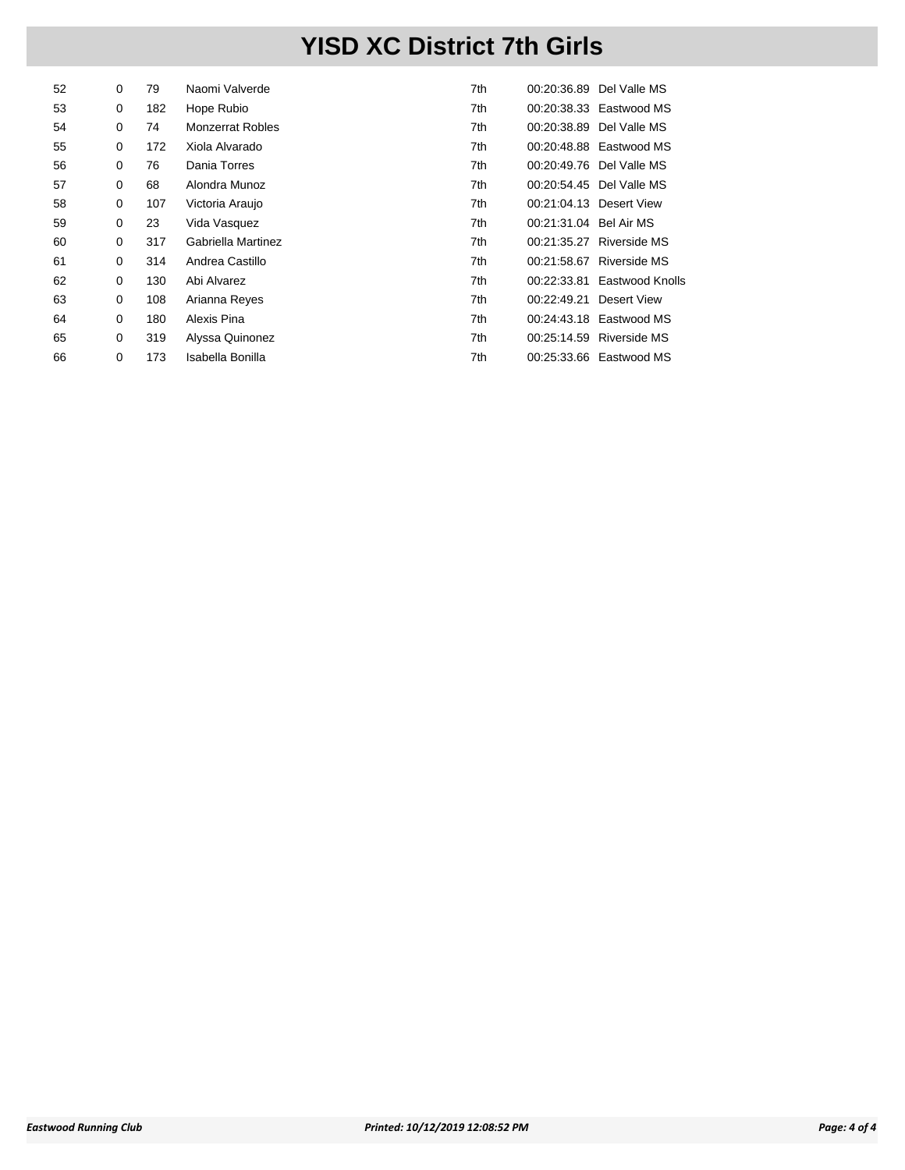| 52 | 0 | 79  | Naomi Valverde          | 7th |                        | 00:20:36.89 Del Valle MS    |
|----|---|-----|-------------------------|-----|------------------------|-----------------------------|
| 53 | 0 | 182 | Hope Rubio              | 7th |                        | 00:20:38.33 Eastwood MS     |
| 54 | 0 | 74  | <b>Monzerrat Robles</b> | 7th |                        | 00:20:38.89 Del Valle MS    |
| 55 | 0 | 172 | Xiola Alvarado          | 7th |                        | 00:20:48.88 Eastwood MS     |
| 56 | 0 | 76  | Dania Torres            | 7th |                        | 00:20:49.76 Del Valle MS    |
| 57 | 0 | 68  | Alondra Munoz           | 7th |                        | 00:20:54.45 Del Valle MS    |
| 58 | 0 | 107 | Victoria Araujo         | 7th |                        | 00:21:04.13 Desert View     |
| 59 | 0 | 23  | Vida Vasquez            | 7th | 00:21:31.04 Bel Air MS |                             |
| 60 | 0 | 317 | Gabriella Martinez      | 7th |                        | 00:21:35.27 Riverside MS    |
| 61 | 0 | 314 | Andrea Castillo         | 7th |                        | 00:21:58.67 Riverside MS    |
| 62 | 0 | 130 | Abi Alvarez             | 7th |                        | 00:22:33.81 Eastwood Knolls |
| 63 | 0 | 108 | Arianna Reyes           | 7th | 00:22:49.21            | Desert View                 |
| 64 | 0 | 180 | Alexis Pina             | 7th |                        | 00:24:43.18 Eastwood MS     |
| 65 | 0 | 319 | Alyssa Quinonez         | 7th | 00:25:14.59            | Riverside MS                |
| 66 | 0 | 173 | Isabella Bonilla        | 7th |                        | 00:25:33.66 Eastwood MS     |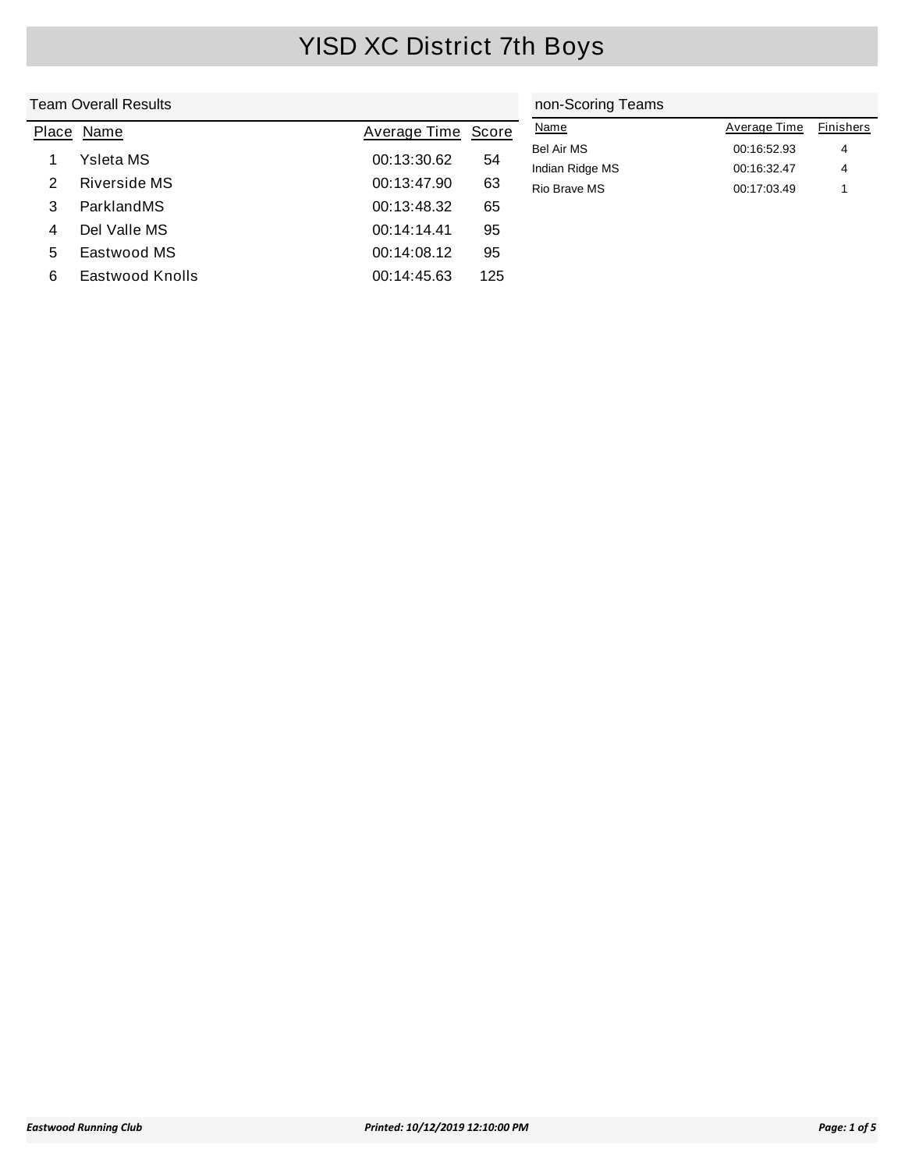|       | <b>Team Overall Results</b> |                     | non-Scoring Teams |                 |              |                  |
|-------|-----------------------------|---------------------|-------------------|-----------------|--------------|------------------|
| Place | Name                        | <b>Average Time</b> | Score             | <b>Name</b>     | Average Time | <b>Finishers</b> |
|       | Ysleta MS                   | 00:13:30.62         | 54                | Bel Air MS      | 00:16:52.93  | 4                |
|       |                             |                     |                   | Indian Ridge MS | 00:16:32.47  | 4                |
| 2     | Riverside MS                | 00:13:47.90         | 63                | Rio Brave MS    | 00:17:03.49  |                  |
| 3     | ParklandMS                  | 00:13:48.32         | 65                |                 |              |                  |
| 4     | Del Valle MS                | 00:14:14.41         | 95                |                 |              |                  |
| 5     | Eastwood MS                 | 00:14:08.12         | 95                |                 |              |                  |
| 6     | <b>Eastwood Knolls</b>      | 00:14:45.63         | 125               |                 |              |                  |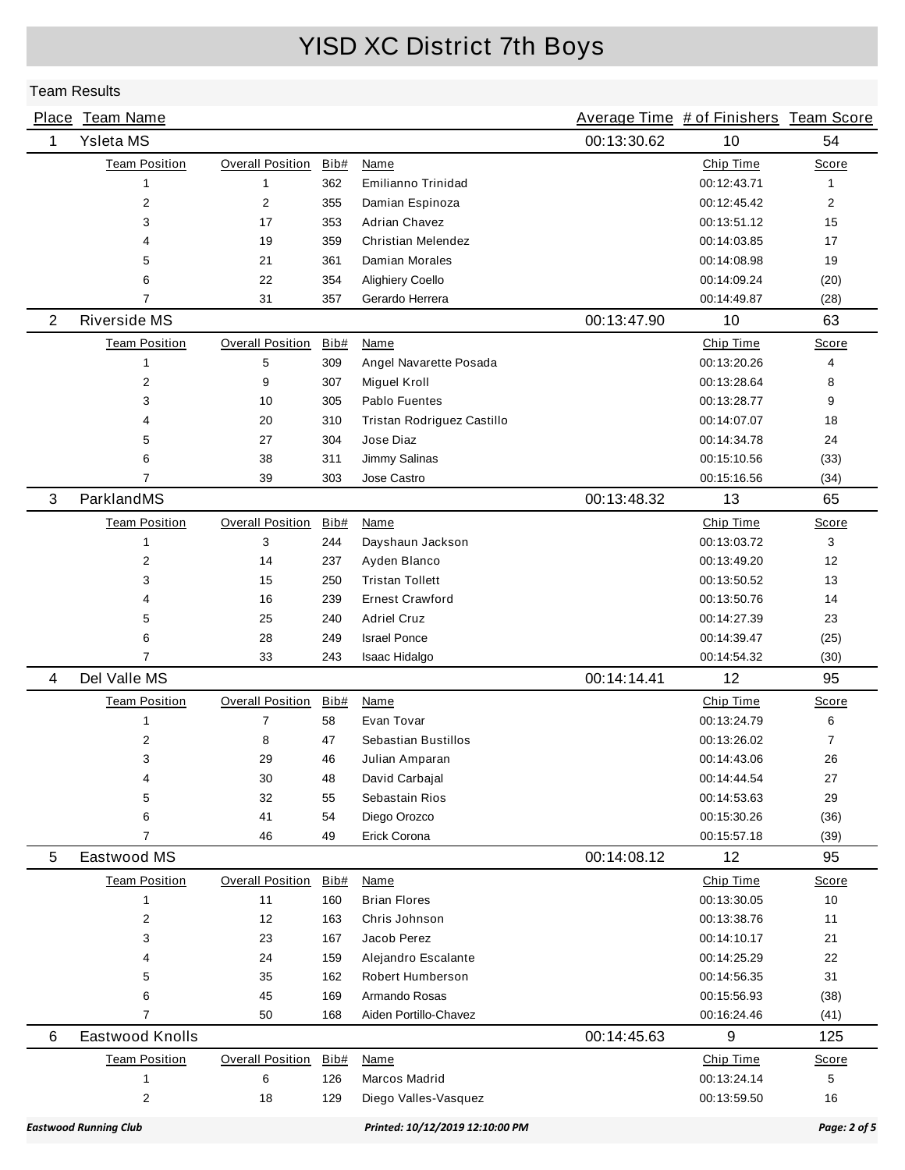|                | Place Team Name              |                         |      |                                 |             | Average Time # of Finishers Team Score |                |
|----------------|------------------------------|-------------------------|------|---------------------------------|-------------|----------------------------------------|----------------|
| 1              | Ysleta MS                    |                         |      |                                 | 00:13:30.62 | 10                                     | 54             |
|                | <b>Team Position</b>         | <b>Overall Position</b> | Bib# | Name                            |             | Chip Time                              | Score          |
|                | $\mathbf{1}$                 | 1                       | 362  | Emilianno Trinidad              |             | 00:12:43.71                            | 1              |
|                | 2                            | $\overline{2}$          | 355  | Damian Espinoza                 |             | 00:12:45.42                            | $\overline{2}$ |
|                | 3                            | 17                      | 353  | Adrian Chavez                   |             | 00:13:51.12                            | 15             |
|                | 4                            | 19                      | 359  | <b>Christian Melendez</b>       |             | 00:14:03.85                            | 17             |
|                | 5                            | 21                      | 361  | Damian Morales                  |             | 00:14:08.98                            | 19             |
|                | 6                            | 22                      | 354  | <b>Alighiery Coello</b>         |             | 00:14:09.24                            | (20)           |
|                | 7                            | 31                      | 357  | Gerardo Herrera                 |             | 00:14:49.87                            | (28)           |
| $\overline{2}$ | Riverside MS                 |                         |      |                                 | 00:13:47.90 | 10                                     | 63             |
|                | <b>Team Position</b>         | <b>Overall Position</b> | Bib# | Name                            |             | Chip Time                              | Score          |
|                | $\mathbf{1}$                 | 5                       | 309  | Angel Navarette Posada          |             | 00:13:20.26                            | 4              |
|                | 2                            | 9                       | 307  | <b>Miguel Kroll</b>             |             | 00:13:28.64                            | 8              |
|                | 3                            | 10                      | 305  | Pablo Fuentes                   |             | 00:13:28.77                            | 9              |
|                | 4                            | 20                      | 310  | Tristan Rodriguez Castillo      |             | 00:14:07.07                            | 18             |
|                | 5                            | 27                      | 304  | Jose Diaz                       |             | 00:14:34.78                            | 24             |
|                | 6                            | 38                      | 311  | Jimmy Salinas                   |             | 00:15:10.56                            | (33)           |
|                | 7                            | 39                      | 303  | Jose Castro                     |             | 00:15:16.56                            | (34)           |
| 3              | ParklandMS                   |                         |      |                                 | 00:13:48.32 | 13                                     | 65             |
|                | <b>Team Position</b>         | <b>Overall Position</b> | Bib# | Name                            |             | Chip Time                              | Score          |
|                | $\mathbf{1}$                 | 3                       | 244  | Dayshaun Jackson                |             | 00:13:03.72                            | 3              |
|                | 2                            | 14                      | 237  | Ayden Blanco                    |             | 00:13:49.20                            | 12             |
|                | 3                            | 15                      | 250  | <b>Tristan Tollett</b>          |             | 00:13:50.52                            | 13             |
|                | 4                            | 16                      | 239  | <b>Ernest Crawford</b>          |             | 00:13:50.76                            | 14             |
|                | 5                            | 25                      | 240  | <b>Adriel Cruz</b>              |             | 00:14:27.39                            | 23             |
|                | 6                            | 28                      | 249  | <b>Israel Ponce</b>             |             | 00:14:39.47                            | (25)           |
|                | $\overline{7}$               | 33                      | 243  | Isaac Hidalgo                   |             | 00:14:54.32                            | (30)           |
| 4              | Del Valle MS                 |                         |      |                                 | 00:14:14.41 | 12                                     | 95             |
|                | <b>Team Position</b>         | <b>Overall Position</b> | Bib# | Name                            |             | Chip Time                              | Score          |
|                | $\mathbf{1}$                 | $\overline{7}$          | 58   | Evan Tovar                      |             | 00:13:24.79                            | 6              |
|                | 2                            | 8                       | 47   | Sebastian Bustillos             |             | 00:13:26.02                            | $\overline{7}$ |
|                | 3                            | 29                      | 46   | Julian Amparan                  |             | 00:14:43.06                            | 26             |
|                | 4                            | 30                      | 48   | David Carbajal                  |             | 00:14:44.54                            | 27             |
|                | 5                            | 32                      | 55   | Sebastain Rios                  |             | 00:14:53.63                            | 29             |
|                | 6                            | 41                      | 54   | Diego Orozco                    |             | 00:15:30.26                            | (36)           |
|                | $\overline{7}$               | 46                      | 49   | Erick Corona                    |             | 00:15:57.18                            | (39)           |
| 5              | Eastwood MS                  |                         |      |                                 | 00:14:08.12 | 12                                     | 95             |
|                | <b>Team Position</b>         | <b>Overall Position</b> | Bib# | Name                            |             | Chip Time                              | Score          |
|                | $\mathbf{1}$                 | 11                      | 160  | <b>Brian Flores</b>             |             | 00:13:30.05                            | 10             |
|                | 2                            | 12                      | 163  | Chris Johnson                   |             | 00:13:38.76                            | 11             |
|                | 3                            | 23                      | 167  | Jacob Perez                     |             | 00:14:10.17                            | 21             |
|                | 4                            | 24                      | 159  | Alejandro Escalante             |             | 00:14:25.29                            | 22             |
|                | 5                            | 35                      | 162  | Robert Humberson                |             | 00:14:56.35                            | 31             |
|                | 6                            | 45                      | 169  | Armando Rosas                   |             | 00:15:56.93                            | (38)           |
|                | $\overline{7}$               | 50                      | 168  | Aiden Portillo-Chavez           |             | 00:16:24.46                            | (41)           |
| 6              | Eastwood Knolls              |                         |      |                                 | 00:14:45.63 | 9                                      | 125            |
|                | <b>Team Position</b>         | <b>Overall Position</b> | Bib# | Name                            |             | Chip Time                              | <b>Score</b>   |
|                | 1                            | 6                       | 126  | Marcos Madrid                   |             | 00:13:24.14                            | 5              |
|                | 2                            | 18                      | 129  | Diego Valles-Vasquez            |             | 00:13:59.50                            | 16             |
|                | <b>Eastwood Running Club</b> |                         |      | Printed: 10/12/2019 12:10:00 PM |             |                                        | Page: 2 of 5   |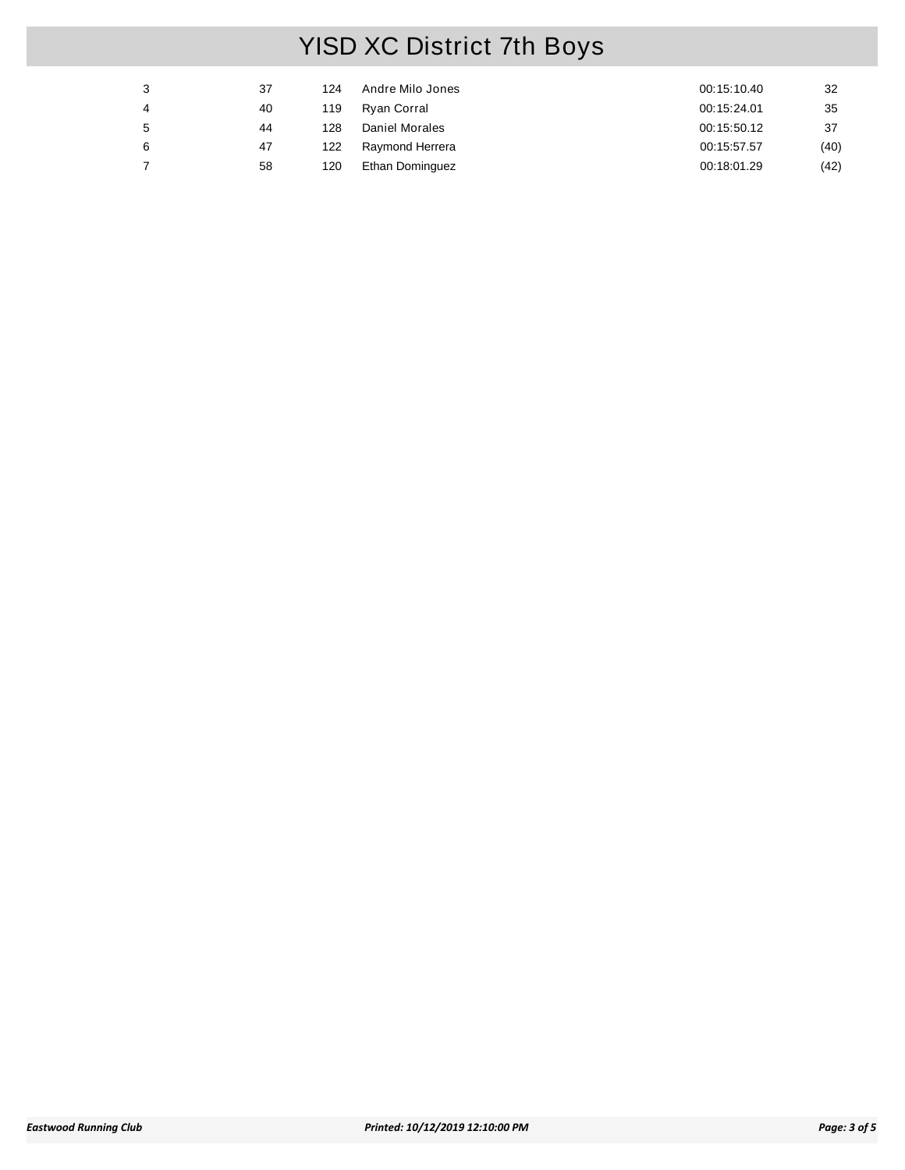| 3 | 37 | 124 | Andre Milo Jones | 00:15:10.40 | 32   |
|---|----|-----|------------------|-------------|------|
| 4 | 40 | 119 | Ryan Corral      | 00:15:24.01 | 35   |
| 5 | 44 | 128 | Daniel Morales   | 00:15:50.12 | 37   |
| 6 | 47 | 122 | Raymond Herrera  | 00:15:57.57 | (40) |
|   | 58 | 120 | Ethan Dominguez  | 00:18:01.29 | (42) |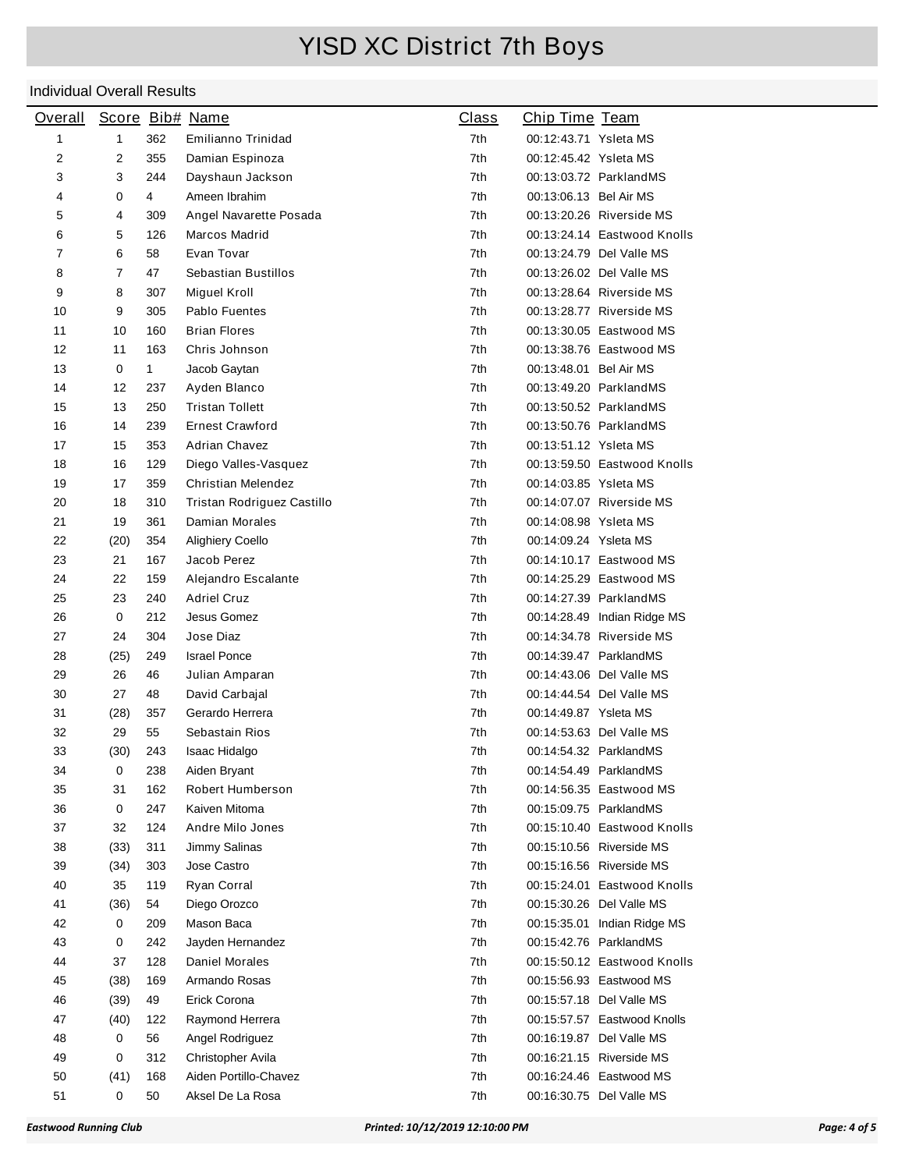| <b>Overall</b> |                |              | Score Bib# Name            | <b>Class</b> | Chip Time Team         |                             |
|----------------|----------------|--------------|----------------------------|--------------|------------------------|-----------------------------|
| 1              | 1              | 362          | Emilianno Trinidad         | 7th          | 00:12:43.71 Ysleta MS  |                             |
| 2              | 2              | 355          | Damian Espinoza            | 7th          | 00:12:45.42 Ysleta MS  |                             |
| 3              | 3              | 244          | Dayshaun Jackson           | 7th          |                        | 00:13:03.72 ParklandMS      |
| 4              | 0              | 4            | Ameen Ibrahim              | 7th          | 00:13:06.13 Bel Air MS |                             |
| 5              | 4              | 309          | Angel Navarette Posada     | 7th          |                        | 00:13:20.26 Riverside MS    |
| 6              | 5              | 126          | Marcos Madrid              | 7th          |                        | 00:13:24.14 Eastwood Knolls |
| 7              | 6              | 58           | Evan Tovar                 | 7th          |                        | 00:13:24.79 Del Valle MS    |
| 8              | $\overline{7}$ | 47           | Sebastian Bustillos        | 7th          |                        | 00:13:26.02 Del Valle MS    |
| 9              | 8              | 307          | Miguel Kroll               | 7th          |                        | 00:13:28.64 Riverside MS    |
| 10             | 9              | 305          | Pablo Fuentes              | 7th          |                        | 00:13:28.77 Riverside MS    |
| 11             | 10             | 160          | <b>Brian Flores</b>        | 7th          |                        | 00:13:30.05 Eastwood MS     |
| 12             | 11             | 163          | Chris Johnson              | 7th          |                        | 00:13:38.76 Eastwood MS     |
| 13             | 0              | $\mathbf{1}$ | Jacob Gaytan               | 7th          | 00:13:48.01 Bel Air MS |                             |
| 14             | 12             | 237          | Ayden Blanco               | 7th          |                        | 00:13:49.20 ParklandMS      |
| 15             | 13             | 250          | <b>Tristan Tollett</b>     | 7th          |                        | 00:13:50.52 ParklandMS      |
| 16             | 14             | 239          | <b>Ernest Crawford</b>     | 7th          |                        | 00:13:50.76 ParklandMS      |
| 17             | 15             | 353          | Adrian Chavez              | 7th          | 00:13:51.12 Ysleta MS  |                             |
| 18             | 16             | 129          | Diego Valles-Vasquez       | 7th          |                        | 00:13:59.50 Eastwood Knolls |
| 19             | 17             | 359          | Christian Melendez         | 7th          | 00:14:03.85 Ysleta MS  |                             |
| 20             | 18             | 310          | Tristan Rodriguez Castillo | 7th          |                        | 00:14:07.07 Riverside MS    |
| 21             | 19             | 361          | Damian Morales             | 7th          | 00:14:08.98 Ysleta MS  |                             |
| 22             | (20)           | 354          | Alighiery Coello           | 7th          | 00:14:09.24 Ysleta MS  |                             |
| 23             | 21             | 167          | Jacob Perez                | 7th          |                        | 00:14:10.17 Eastwood MS     |
| 24             | 22             | 159          | Alejandro Escalante        | 7th          |                        | 00:14:25.29 Eastwood MS     |
| 25             | 23             | 240          | <b>Adriel Cruz</b>         | 7th          |                        | 00:14:27.39 ParklandMS      |
| 26             | 0              | 212          | Jesus Gomez                | 7th          |                        | 00:14:28.49 Indian Ridge MS |
| 27             | 24             | 304          | Jose Diaz                  | 7th          |                        | 00:14:34.78 Riverside MS    |
| 28             | (25)           | 249          | <b>Israel Ponce</b>        | 7th          | 00:14:39.47 ParklandMS |                             |
| 29             | 26             | 46           | Julian Amparan             | 7th          |                        | 00:14:43.06 Del Valle MS    |
| 30             | 27             | 48           | David Carbajal             | 7th          |                        | 00:14:44.54 Del Valle MS    |
| 31             | (28)           | 357          | Gerardo Herrera            | 7th          | 00:14:49.87 Ysleta MS  |                             |
| 32             | 29             | 55           | Sebastain Rios             | 7th          |                        | 00:14:53.63 Del Valle MS    |
| 33             | (30)           | 243          | Isaac Hidalgo              | 7th          | 00:14:54.32 ParklandMS |                             |
| 34             | $\mathsf{O}$   | 238          | Aiden Bryant               | 7th          | 00:14:54.49 ParklandMS |                             |
| 35             | 31             | 162          | Robert Humberson           | 7th          |                        | 00:14:56.35 Eastwood MS     |
| 36             | 0              | 247          | Kaiven Mitoma              | 7th          | 00:15:09.75 ParklandMS |                             |
| 37             | 32             | 124          | Andre Milo Jones           | 7th          |                        | 00:15:10.40 Eastwood Knolls |
| 38             | (33)           | 311          | Jimmy Salinas              | 7th          |                        | 00:15:10.56 Riverside MS    |
| 39             | (34)           | 303          | Jose Castro                | 7th          |                        | 00:15:16.56 Riverside MS    |
| 40             | 35             | 119          | Ryan Corral                | 7th          |                        | 00:15:24.01 Eastwood Knolls |
| 41             | (36)           | 54           | Diego Orozco               | 7th          |                        | 00:15:30.26 Del Valle MS    |
| 42             | 0              | 209          | Mason Baca                 | 7th          |                        | 00:15:35.01 Indian Ridge MS |
| 43             | 0              | 242          | Jayden Hernandez           | 7th          | 00:15:42.76 ParklandMS |                             |
| 44             | 37             | 128          | Daniel Morales             | 7th          |                        | 00:15:50.12 Eastwood Knolls |
| 45             | (38)           | 169          | Armando Rosas              | 7th          |                        | 00:15:56.93 Eastwood MS     |
| 46             | (39)           | 49           | Erick Corona               | 7th          |                        | 00:15:57.18 Del Valle MS    |
| 47             | (40)           | 122          | Raymond Herrera            | 7th          |                        | 00:15:57.57 Eastwood Knolls |
| 48             | 0              | 56           | Angel Rodriguez            | 7th          |                        | 00:16:19.87 Del Valle MS    |
| 49             | 0              | 312          | Christopher Avila          | 7th          |                        | 00:16:21.15 Riverside MS    |
| 50             | (41)           | 168          | Aiden Portillo-Chavez      | 7th          |                        | 00:16:24.46 Eastwood MS     |
| 51             | 0              | 50           | Aksel De La Rosa           | 7th          |                        | 00:16:30.75 Del Valle MS    |
|                |                |              |                            |              |                        |                             |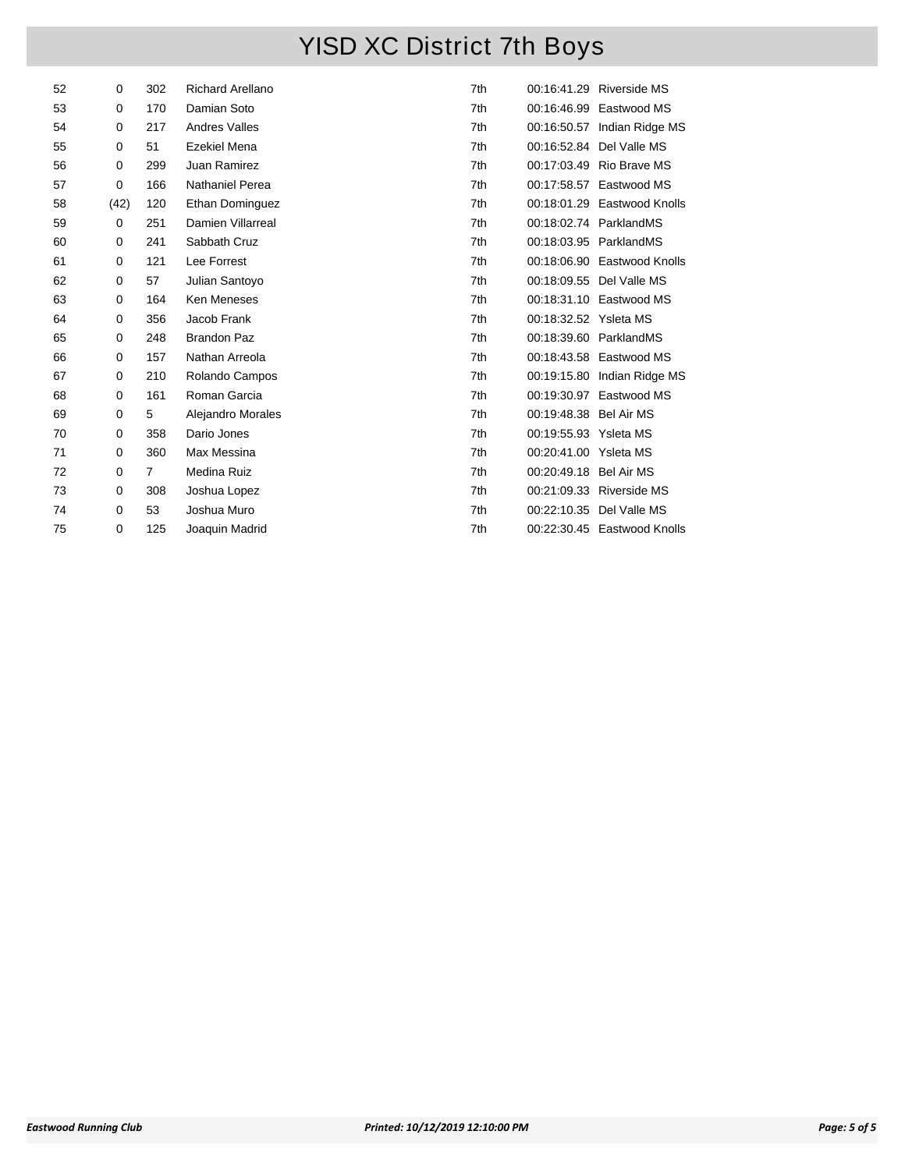| 52 | 0    | 302            | <b>Richard Arellano</b> | 7th |                        | 00:16:41.29 Riverside MS    |
|----|------|----------------|-------------------------|-----|------------------------|-----------------------------|
| 53 | 0    | 170            | Damian Soto             | 7th |                        | 00:16:46.99 Eastwood MS     |
| 54 | 0    | 217            | <b>Andres Valles</b>    | 7th |                        | 00:16:50.57 Indian Ridge MS |
| 55 | 0    | 51             | Ezekiel Mena            | 7th |                        | 00:16:52.84 Del Valle MS    |
| 56 | 0    | 299            | Juan Ramirez            | 7th |                        | 00:17:03.49 Rio Brave MS    |
| 57 | 0    | 166            | Nathaniel Perea         | 7th |                        | 00:17:58.57 Eastwood MS     |
| 58 | (42) | 120            | Ethan Dominguez         | 7th |                        | 00:18:01.29 Eastwood Knolls |
| 59 | 0    | 251            | Damien Villarreal       | 7th |                        | 00:18:02.74 ParklandMS      |
| 60 | 0    | 241            | Sabbath Cruz            | 7th |                        | 00:18:03.95 ParklandMS      |
| 61 | 0    | 121            | Lee Forrest             | 7th |                        | 00:18:06.90 Eastwood Knolls |
| 62 | 0    | 57             | Julian Santoyo          | 7th |                        | 00:18:09.55 Del Valle MS    |
| 63 | 0    | 164            | <b>Ken Meneses</b>      | 7th |                        | 00:18:31.10 Eastwood MS     |
| 64 | 0    | 356            | Jacob Frank             | 7th | 00:18:32.52 Ysleta MS  |                             |
| 65 | 0    | 248            | <b>Brandon Paz</b>      | 7th |                        | 00:18:39.60 ParklandMS      |
| 66 | 0    | 157            | Nathan Arreola          | 7th |                        | 00:18:43.58 Eastwood MS     |
| 67 | 0    | 210            | Rolando Campos          | 7th |                        | 00:19:15.80 Indian Ridge MS |
| 68 | 0    | 161            | Roman Garcia            | 7th |                        | 00:19:30.97 Eastwood MS     |
| 69 | 0    | 5              | Alejandro Morales       | 7th | 00:19:48.38 Bel Air MS |                             |
| 70 | 0    | 358            | Dario Jones             | 7th | 00:19:55.93 Ysleta MS  |                             |
| 71 | 0    | 360            | Max Messina             | 7th | 00:20:41.00 Ysleta MS  |                             |
| 72 | 0    | $\overline{7}$ | Medina Ruiz             | 7th | 00:20:49.18 Bel Air MS |                             |
| 73 | 0    | 308            | Joshua Lopez            | 7th |                        | 00:21:09.33 Riverside MS    |
| 74 | 0    | 53             | Joshua Muro             | 7th |                        | 00:22:10.35 Del Valle MS    |
| 75 | 0    | 125            | Joaquin Madrid          | 7th |                        | 00:22:30.45 Eastwood Knolls |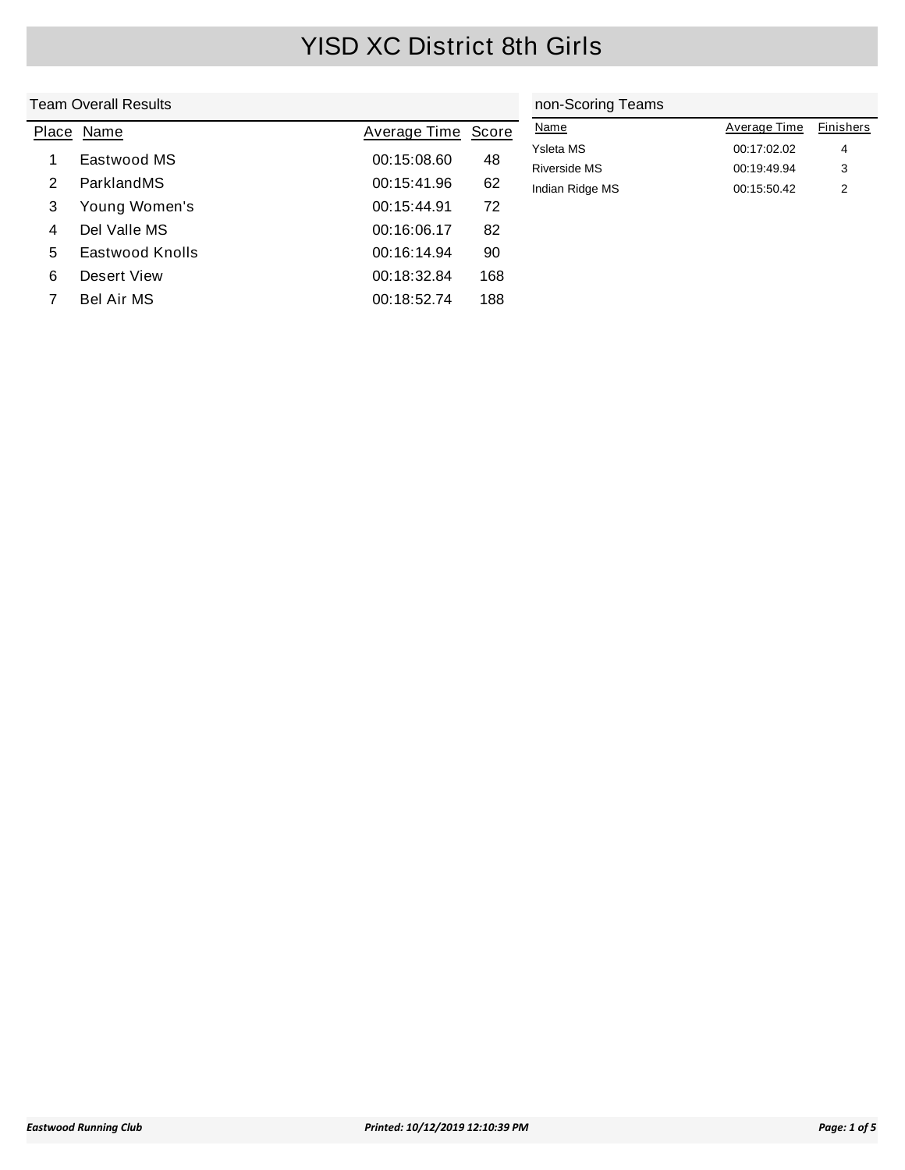|       | <b>Team Overall Results</b> |              | non-Scoring Teams |                                  |                            |           |
|-------|-----------------------------|--------------|-------------------|----------------------------------|----------------------------|-----------|
| Place | Name                        | Average Time | Score             | <b>Name</b>                      | Average Time               | Finishers |
|       | Eastwood MS                 | 00:15:08.60  | 48                | Ysleta MS<br><b>Riverside MS</b> | 00:17:02.02<br>00:19:49.94 | 4<br>3    |
| 2     | ParklandMS                  | 00:15:41.96  | 62                | Indian Ridge MS                  | 00:15:50.42                | 2         |
| 3     | Young Women's               | 00:15:44.91  | 72                |                                  |                            |           |
| 4     | Del Valle MS                | 00:16:06.17  | 82                |                                  |                            |           |
| 5     | Eastwood Knolls             | 00:16:14.94  | 90                |                                  |                            |           |
| 6     | Desert View                 | 00:18:32.84  | 168               |                                  |                            |           |
|       | Bel Air MS                  | 00:18:52.74  | 188               |                                  |                            |           |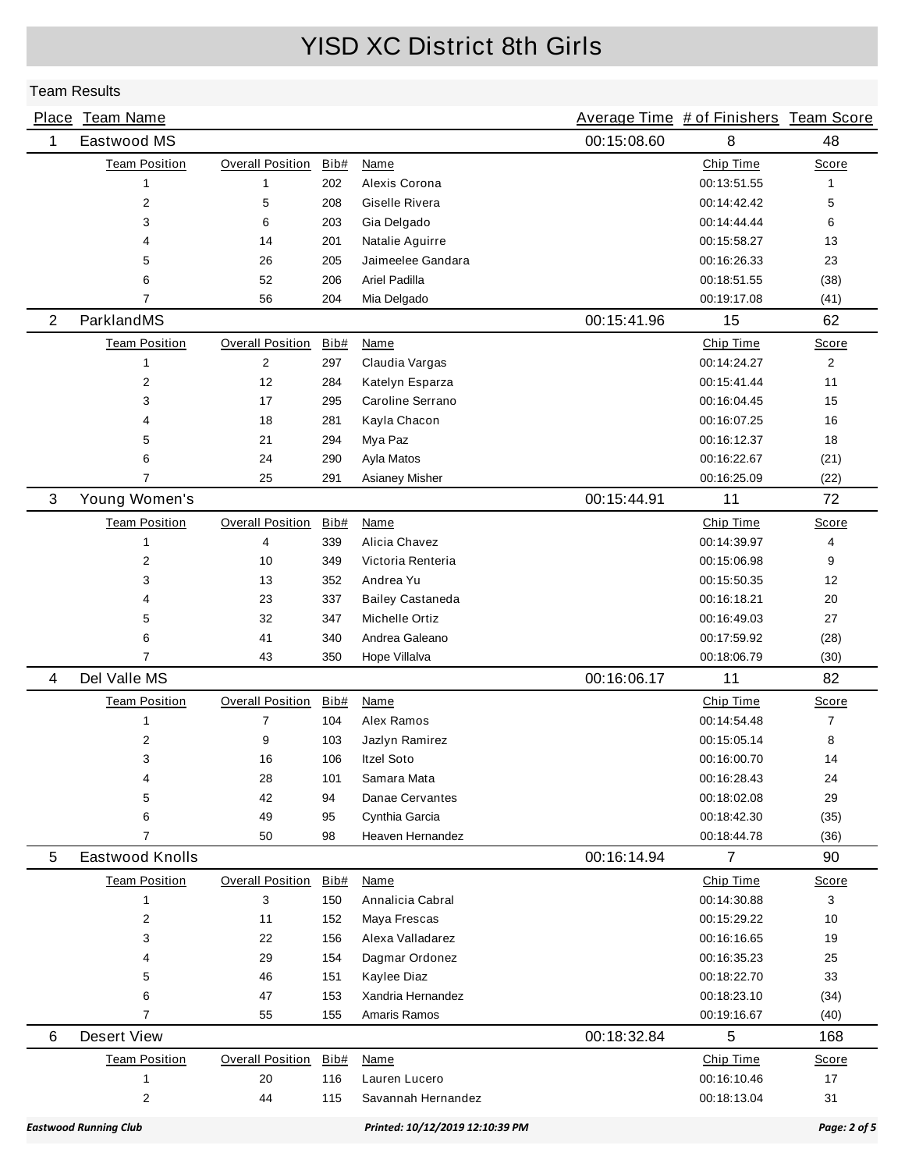|                | Place Team Name              |                         |      |                                 |             | Average Time # of Finishers Team Score |                |
|----------------|------------------------------|-------------------------|------|---------------------------------|-------------|----------------------------------------|----------------|
| 1              | Eastwood MS                  |                         |      |                                 | 00:15:08.60 | 8                                      | 48             |
|                | <b>Team Position</b>         | Overall Position        | Bib# | Name                            |             | Chip Time                              | Score          |
|                | 1                            | 1                       | 202  | Alexis Corona                   |             | 00:13:51.55                            | 1              |
|                | 2                            | 5                       | 208  | Giselle Rivera                  |             | 00:14:42.42                            | 5              |
|                | 3                            | 6                       | 203  | Gia Delgado                     |             | 00:14:44.44                            | 6              |
|                | 4                            | 14                      | 201  | Natalie Aguirre                 |             | 00:15:58.27                            | 13             |
|                | 5                            | 26                      | 205  | Jaimeelee Gandara               |             | 00:16:26.33                            | 23             |
|                | 6                            | 52                      | 206  | Ariel Padilla                   |             | 00:18:51.55                            | (38)           |
|                | $\overline{7}$               | 56                      | 204  | Mia Delgado                     |             | 00:19:17.08                            | (41)           |
| $\overline{2}$ | ParklandMS                   |                         |      |                                 | 00:15:41.96 | 15                                     | 62             |
|                | <b>Team Position</b>         | <b>Overall Position</b> | Bib# | <b>Name</b>                     |             | Chip Time                              | Score          |
|                | $\mathbf{1}$                 | $\mathbf{2}$            | 297  | Claudia Vargas                  |             | 00:14:24.27                            | $\overline{2}$ |
|                | 2                            | 12                      | 284  | Katelyn Esparza                 |             | 00:15:41.44                            | 11             |
|                | 3                            | 17                      | 295  | Caroline Serrano                |             | 00:16:04.45                            | 15             |
|                | 4                            | 18                      | 281  | Kayla Chacon                    |             | 00:16:07.25                            | 16             |
|                | 5                            | 21                      | 294  | Mya Paz                         |             | 00:16:12.37                            | 18             |
|                | 6                            | 24                      | 290  | Ayla Matos                      |             | 00:16:22.67                            | (21)           |
|                | 7                            | 25                      | 291  | Asianey Misher                  |             | 00:16:25.09                            | (22)           |
| 3              | Young Women's                |                         |      |                                 | 00:15:44.91 | 11                                     | 72             |
|                | <b>Team Position</b>         | <b>Overall Position</b> | Bib# | Name                            |             | Chip Time                              | Score          |
|                | 1                            | 4                       | 339  | Alicia Chavez                   |             | 00:14:39.97                            | 4              |
|                | $\overline{2}$               | 10                      | 349  | Victoria Renteria               |             | 00:15:06.98                            | 9              |
|                | 3                            | 13                      | 352  | Andrea Yu                       |             | 00:15:50.35                            | 12             |
|                | 4                            | 23                      | 337  | <b>Bailey Castaneda</b>         |             | 00:16:18.21                            | 20             |
|                | 5                            | 32                      | 347  | Michelle Ortiz                  |             | 00:16:49.03                            | 27             |
|                | 6                            | 41                      | 340  | Andrea Galeano                  |             | 00:17:59.92                            | (28)           |
|                | 7                            | 43                      | 350  | Hope Villalva                   |             | 00:18:06.79                            | (30)           |
| 4              | Del Valle MS                 |                         |      |                                 | 00:16:06.17 | 11                                     | 82             |
|                | <b>Team Position</b>         | <b>Overall Position</b> | Bib# | Name                            |             | Chip Time                              | Score          |
|                | $\mathbf{1}$                 | 7                       | 104  | Alex Ramos                      |             | 00:14:54.48                            | $\overline{7}$ |
|                | 2                            | 9                       | 103  | Jazlyn Ramirez                  |             | 00:15:05.14                            | 8              |
|                | 3                            | 16                      | 106  | Itzel Soto                      |             | 00:16:00.70                            | 14             |
|                | 4                            | 28                      | 101  | Samara Mata                     |             | 00:16:28.43                            | 24             |
|                | 5                            | 42                      | 94   | Danae Cervantes                 |             | 00:18:02.08                            | 29             |
|                | 6                            | 49                      | 95   | Cynthia Garcia                  |             | 00:18:42.30                            | (35)           |
|                | 7                            | 50                      | 98   | Heaven Hernandez                |             | 00:18:44.78                            | (36)           |
| 5              | Eastwood Knolls              |                         |      |                                 | 00:16:14.94 | $\overline{7}$                         | 90             |
|                | <b>Team Position</b>         | <b>Overall Position</b> | Bib# | Name                            |             | Chip Time                              | Score          |
|                | $\mathbf{1}$                 | 3                       | 150  | Annalicia Cabral                |             | 00:14:30.88                            | 3              |
|                | 2                            | 11                      | 152  | Maya Frescas                    |             | 00:15:29.22                            | 10             |
|                | 3                            | 22                      | 156  | Alexa Valladarez                |             | 00:16:16.65                            | 19             |
|                | 4                            | 29                      | 154  | Dagmar Ordonez                  |             | 00:16:35.23                            | 25             |
|                | 5                            | 46                      | 151  | Kaylee Diaz                     |             | 00:18:22.70                            | 33             |
|                | 6                            | 47                      | 153  | Xandria Hernandez               |             | 00:18:23.10                            | (34)           |
|                | $\overline{7}$               | 55                      | 155  | Amaris Ramos                    |             | 00:19:16.67                            | (40)           |
| 6              | <b>Desert View</b>           |                         |      |                                 | 00:18:32.84 | 5                                      | 168            |
|                | <b>Team Position</b>         | <b>Overall Position</b> | Bib# | Name                            |             | Chip Time                              | Score          |
|                | $\mathbf{1}$                 | 20                      | 116  | Lauren Lucero                   |             | 00:16:10.46                            | 17             |
|                | $\overline{\mathbf{c}}$      | 44                      | 115  | Savannah Hernandez              |             | 00:18:13.04                            | 31             |
|                | <b>Eastwood Running Club</b> |                         |      | Printed: 10/12/2019 12:10:39 PM |             |                                        | Page: 2 of 5   |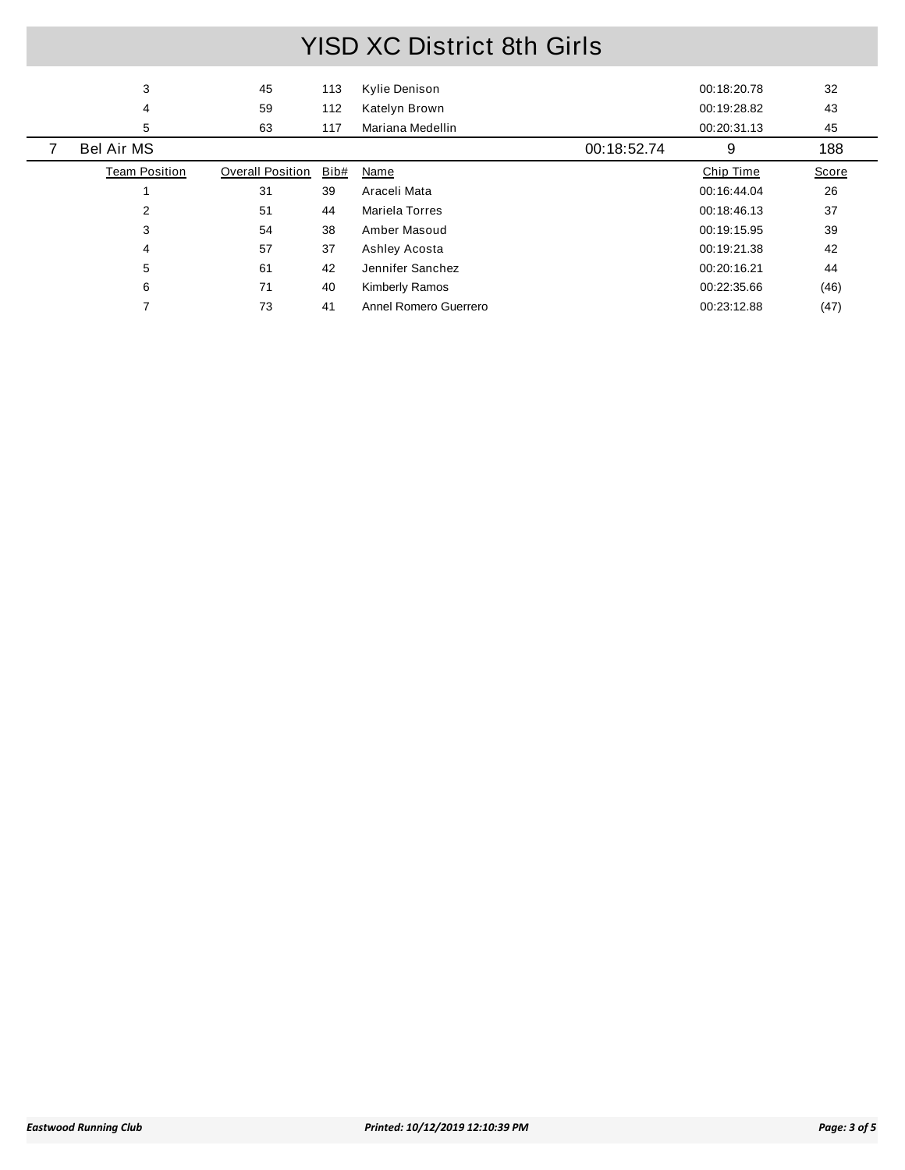| 3                    | 45                      | 113  | Kylie Denison         |             | 00:18:20.78 | 32    |
|----------------------|-------------------------|------|-----------------------|-------------|-------------|-------|
| 4                    | 59                      | 112  | Katelyn Brown         |             | 00:19:28.82 | 43    |
| 5                    | 63                      | 117  | Mariana Medellin      |             | 00:20:31.13 | 45    |
| <b>Bel Air MS</b>    |                         |      |                       | 00:18:52.74 | 9           | 188   |
| <b>Team Position</b> | <b>Overall Position</b> | Bib# | Name                  |             | Chip Time   | Score |
|                      | 31                      | 39   | Araceli Mata          |             | 00:16:44.04 | 26    |
| 2                    | 51                      | 44   | Mariela Torres        |             | 00:18:46.13 | 37    |
| 3                    | 54                      | 38   | Amber Masoud          |             | 00:19:15.95 | 39    |
| 4                    | 57                      | 37   | Ashley Acosta         |             | 00:19:21.38 | 42    |
| 5                    | 61                      | 42   | Jennifer Sanchez      |             | 00:20:16.21 | 44    |
| 6                    | 71                      | 40   | <b>Kimberly Ramos</b> |             | 00:22:35.66 | (46)  |
|                      | 73                      | 41   | Annel Romero Guerrero |             | 00:23:12.88 | (47)  |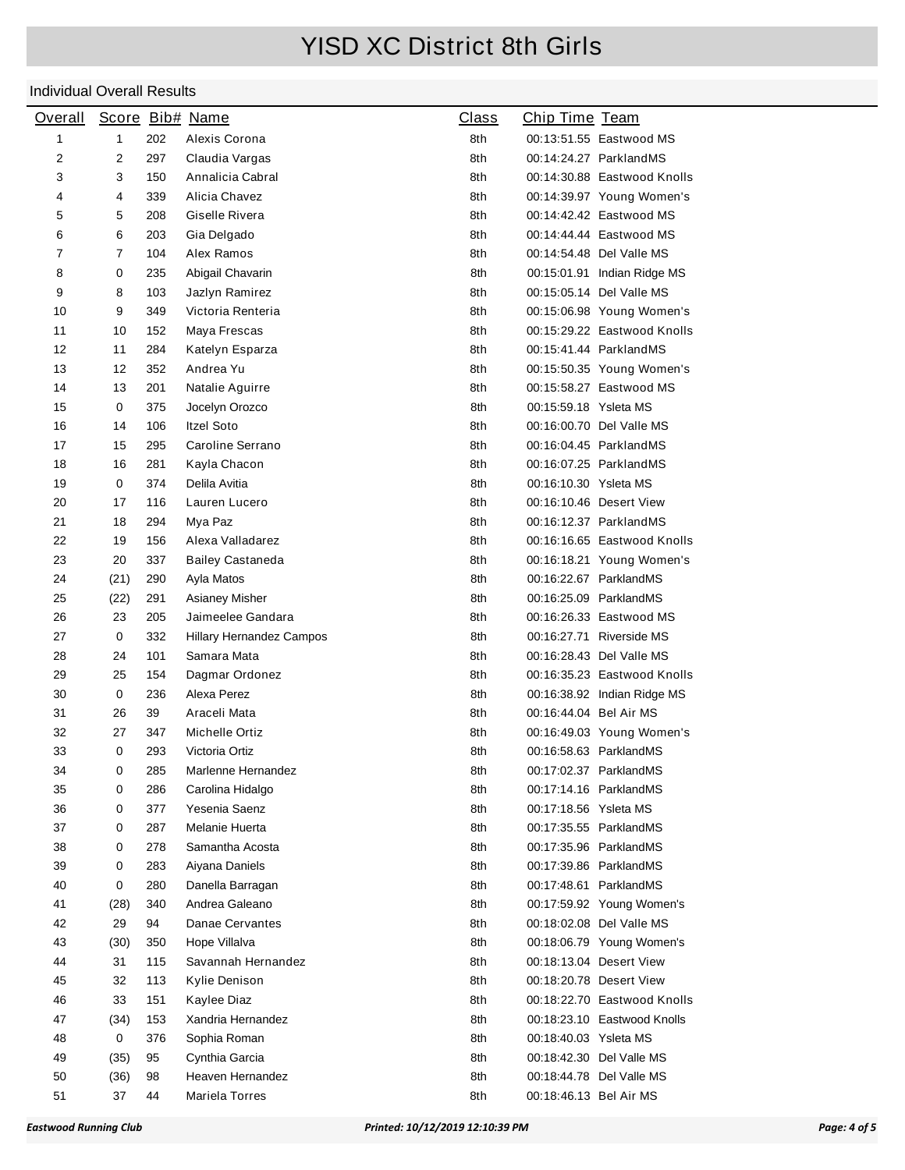| <b>Overall</b> |      |     | Score Bib# Name          | <b>Class</b> | Chip Time Team         |                             |
|----------------|------|-----|--------------------------|--------------|------------------------|-----------------------------|
| 1              | 1    | 202 | Alexis Corona            | 8th          |                        | 00:13:51.55 Eastwood MS     |
| 2              | 2    | 297 | Claudia Vargas           | 8th          |                        | 00:14:24.27 ParklandMS      |
| 3              | 3    | 150 | Annalicia Cabral         | 8th          |                        | 00:14:30.88 Eastwood Knolls |
| 4              | 4    | 339 | Alicia Chavez            | 8th          |                        | 00:14:39.97 Young Women's   |
| 5              | 5    | 208 | Giselle Rivera           | 8th          |                        | 00:14:42.42 Eastwood MS     |
| 6              | 6    | 203 | Gia Delgado              | 8th          |                        | 00:14:44.44 Eastwood MS     |
| 7              | 7    | 104 | Alex Ramos               | 8th          |                        | 00:14:54.48 Del Valle MS    |
| 8              | 0    | 235 | Abigail Chavarin         | 8th          |                        | 00:15:01.91 Indian Ridge MS |
| 9              | 8    | 103 | Jazlyn Ramirez           | 8th          |                        | 00:15:05.14 Del Valle MS    |
| 10             | 9    | 349 | Victoria Renteria        | 8th          |                        | 00:15:06.98 Young Women's   |
| 11             | 10   | 152 | Maya Frescas             | 8th          |                        | 00:15:29.22 Eastwood Knolls |
| 12             | 11   | 284 | Katelyn Esparza          | 8th          |                        | 00:15:41.44 ParklandMS      |
| 13             | 12   | 352 | Andrea Yu                | 8th          |                        | 00:15:50.35 Young Women's   |
| 14             | 13   | 201 | Natalie Aguirre          | 8th          |                        | 00:15:58.27 Eastwood MS     |
| 15             | 0    | 375 | Jocelyn Orozco           | 8th          | 00:15:59.18 Ysleta MS  |                             |
| 16             | 14   | 106 | <b>Itzel Soto</b>        | 8th          |                        | 00:16:00.70 Del Valle MS    |
| 17             | 15   | 295 | Caroline Serrano         | 8th          |                        | 00:16:04.45 ParklandMS      |
| 18             | 16   | 281 | Kayla Chacon             | 8th          |                        | 00:16:07.25 ParklandMS      |
| 19             | 0    | 374 | Delila Avitia            | 8th          | 00:16:10.30 Ysleta MS  |                             |
| 20             | 17   | 116 | Lauren Lucero            | 8th          |                        | 00:16:10.46 Desert View     |
| 21             | 18   | 294 | Mya Paz                  | 8th          |                        | 00:16:12.37 ParklandMS      |
| 22             | 19   | 156 | Alexa Valladarez         | 8th          |                        | 00:16:16.65 Eastwood Knolls |
| 23             | 20   | 337 | <b>Bailey Castaneda</b>  | 8th          |                        | 00:16:18.21 Young Women's   |
| 24             | (21) | 290 | Ayla Matos               | 8th          |                        | 00:16:22.67 ParklandMS      |
| 25             | (22) | 291 | Asianey Misher           | 8th          |                        | 00:16:25.09 ParklandMS      |
| 26             | 23   | 205 | Jaimeelee Gandara        | 8th          |                        | 00:16:26.33 Eastwood MS     |
| 27             | 0    | 332 | Hillary Hernandez Campos | 8th          |                        | 00:16:27.71 Riverside MS    |
| 28             | 24   | 101 | Samara Mata              | 8th          |                        | 00:16:28.43 Del Valle MS    |
| 29             | 25   | 154 | Dagmar Ordonez           | 8th          |                        | 00:16:35.23 Eastwood Knolls |
| 30             | 0    | 236 | Alexa Perez              | 8th          |                        | 00:16:38.92 Indian Ridge MS |
| 31             | 26   | 39  | Araceli Mata             | 8th          | 00:16:44.04 Bel Air MS |                             |
| 32             | 27   | 347 | Michelle Ortiz           | 8th          |                        | 00:16:49.03 Young Women's   |
| 33             | 0    | 293 | Victoria Ortiz           | 8th          |                        | 00:16:58.63 ParklandMS      |
| 34             | 0    | 285 | Marlenne Hernandez       | 8th          | 00:17:02.37 ParklandMS |                             |
| 35             | 0    | 286 | Carolina Hidalgo         | 8th          |                        | 00:17:14.16 ParklandMS      |
| 36             | 0    | 377 | Yesenia Saenz            | 8th          | 00:17:18.56 Ysleta MS  |                             |
| 37             | 0    | 287 | Melanie Huerta           | 8th          |                        | 00:17:35.55 ParklandMS      |
| 38             | 0    | 278 | Samantha Acosta          | 8th          |                        | 00:17:35.96 ParklandMS      |
| 39             | 0    | 283 | Aiyana Daniels           | 8th          |                        | 00:17:39.86 ParklandMS      |
| 40             | 0    | 280 | Danella Barragan         | 8th          |                        | 00:17:48.61 ParklandMS      |
| 41             | (28) | 340 | Andrea Galeano           | 8th          |                        | 00:17:59.92 Young Women's   |
| 42             | 29   | 94  | Danae Cervantes          | 8th          |                        | 00:18:02.08 Del Valle MS    |
| 43             | (30) | 350 | Hope Villalva            | 8th          |                        | 00:18:06.79 Young Women's   |
| 44             | 31   | 115 | Savannah Hernandez       | 8th          |                        | 00:18:13.04 Desert View     |
| 45             | 32   | 113 | Kylie Denison            | 8th          |                        | 00:18:20.78 Desert View     |
| 46             | 33   | 151 | Kaylee Diaz              | 8th          |                        | 00:18:22.70 Eastwood Knolls |
| 47             | (34) | 153 | Xandria Hernandez        | 8th          |                        | 00:18:23.10 Eastwood Knolls |
| 48             | 0    | 376 | Sophia Roman             | 8th          | 00:18:40.03 Ysleta MS  |                             |
| 49             | (35) | 95  | Cynthia Garcia           | 8th          |                        | 00:18:42.30 Del Valle MS    |
| 50             | (36) | 98  | Heaven Hernandez         | 8th          |                        | 00:18:44.78 Del Valle MS    |
| 51             | 37   | 44  | Mariela Torres           | 8th          | 00:18:46.13 Bel Air MS |                             |
|                |      |     |                          |              |                        |                             |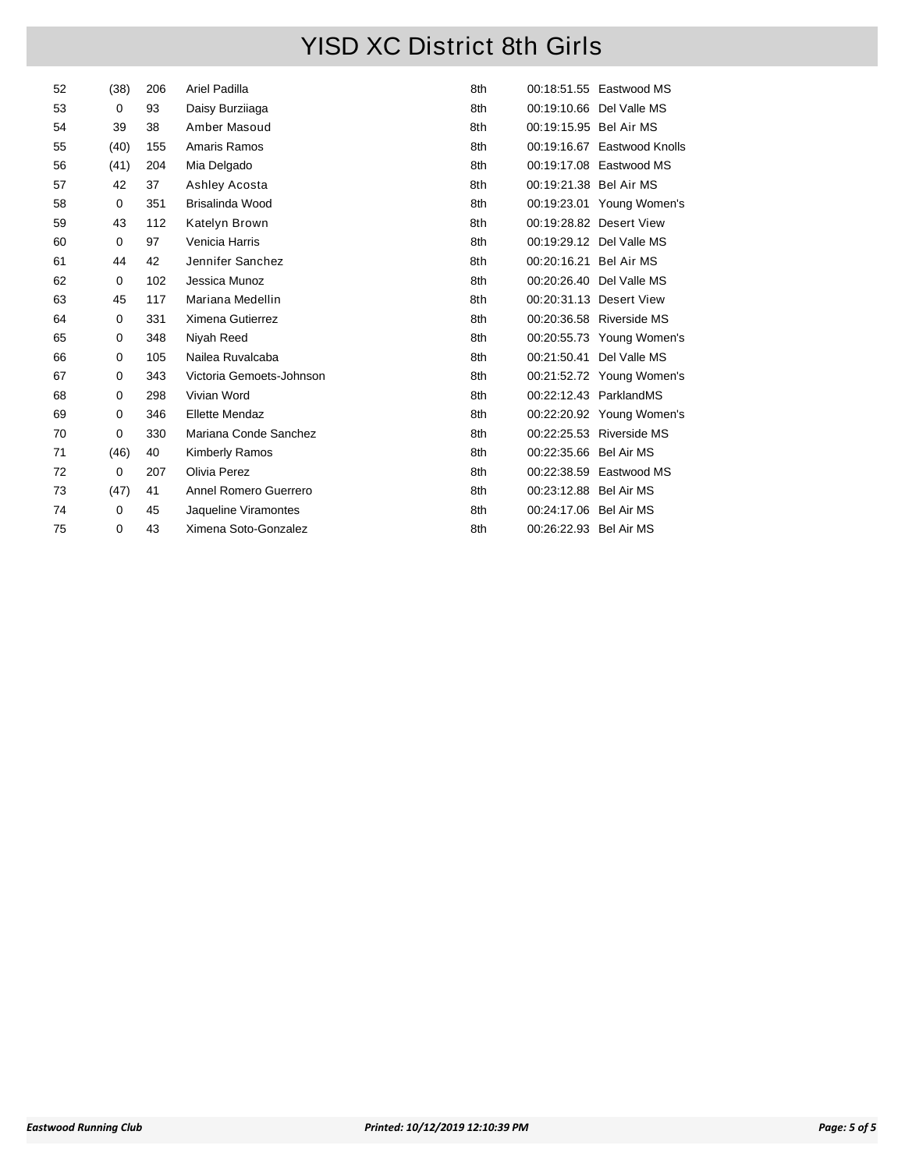| 52 | (38) | 206 | Ariel Padilla            | 8th |                        | 00:18:51.55 Eastwood MS     |
|----|------|-----|--------------------------|-----|------------------------|-----------------------------|
| 53 | 0    | 93  | Daisy Burziiaga          | 8th |                        | 00:19:10.66 Del Valle MS    |
| 54 | 39   | 38  | Amber Masoud             | 8th | 00:19:15.95 Bel Air MS |                             |
| 55 | (40) | 155 | Amaris Ramos             | 8th |                        | 00:19:16.67 Eastwood Knolls |
| 56 | (41) | 204 | Mia Delgado              | 8th |                        | 00:19:17.08 Eastwood MS     |
| 57 | 42   | 37  | Ashley Acosta            | 8th | 00:19:21.38 Bel Air MS |                             |
| 58 | 0    | 351 | Brisalinda Wood          | 8th |                        | 00:19:23.01 Young Women's   |
| 59 | 43   | 112 | Katelyn Brown            | 8th |                        | 00:19:28.82 Desert View     |
| 60 | 0    | 97  | Venicia Harris           | 8th |                        | 00:19:29.12 Del Valle MS    |
| 61 | 44   | 42  | Jennifer Sanchez         | 8th | 00:20:16.21 Bel Air MS |                             |
| 62 | 0    | 102 | Jessica Munoz            | 8th |                        | 00:20:26.40 Del Valle MS    |
| 63 | 45   | 117 | Mariana Medellin         | 8th |                        | 00:20:31.13 Desert View     |
| 64 | 0    | 331 | Ximena Gutierrez         | 8th |                        | 00:20:36.58 Riverside MS    |
| 65 | 0    | 348 | Niyah Reed               | 8th |                        | 00:20:55.73 Young Women's   |
| 66 | 0    | 105 | Nailea Ruvalcaba         | 8th |                        | 00:21:50.41 Del Valle MS    |
| 67 | 0    | 343 | Victoria Gemoets-Johnson | 8th |                        | 00:21:52.72 Young Women's   |
| 68 | 0    | 298 | Vivian Word              | 8th |                        | 00:22:12.43 ParklandMS      |
| 69 | 0    | 346 | <b>Ellette Mendaz</b>    | 8th |                        | 00:22:20.92 Young Women's   |
| 70 | 0    | 330 | Mariana Conde Sanchez    | 8th |                        | 00:22:25.53 Riverside MS    |
| 71 | (46) | 40  | <b>Kimberly Ramos</b>    | 8th | 00:22:35.66 Bel Air MS |                             |
| 72 | 0    | 207 | Olivia Perez             | 8th |                        | 00:22:38.59 Eastwood MS     |
| 73 | (47) | 41  | Annel Romero Guerrero    | 8th | 00:23:12.88 Bel Air MS |                             |
| 74 | 0    | 45  | Jaqueline Viramontes     | 8th | 00:24:17.06 Bel Air MS |                             |
| 75 | 0    | 43  | Ximena Soto-Gonzalez     | 8th | 00:26:22.93 Bel Air MS |                             |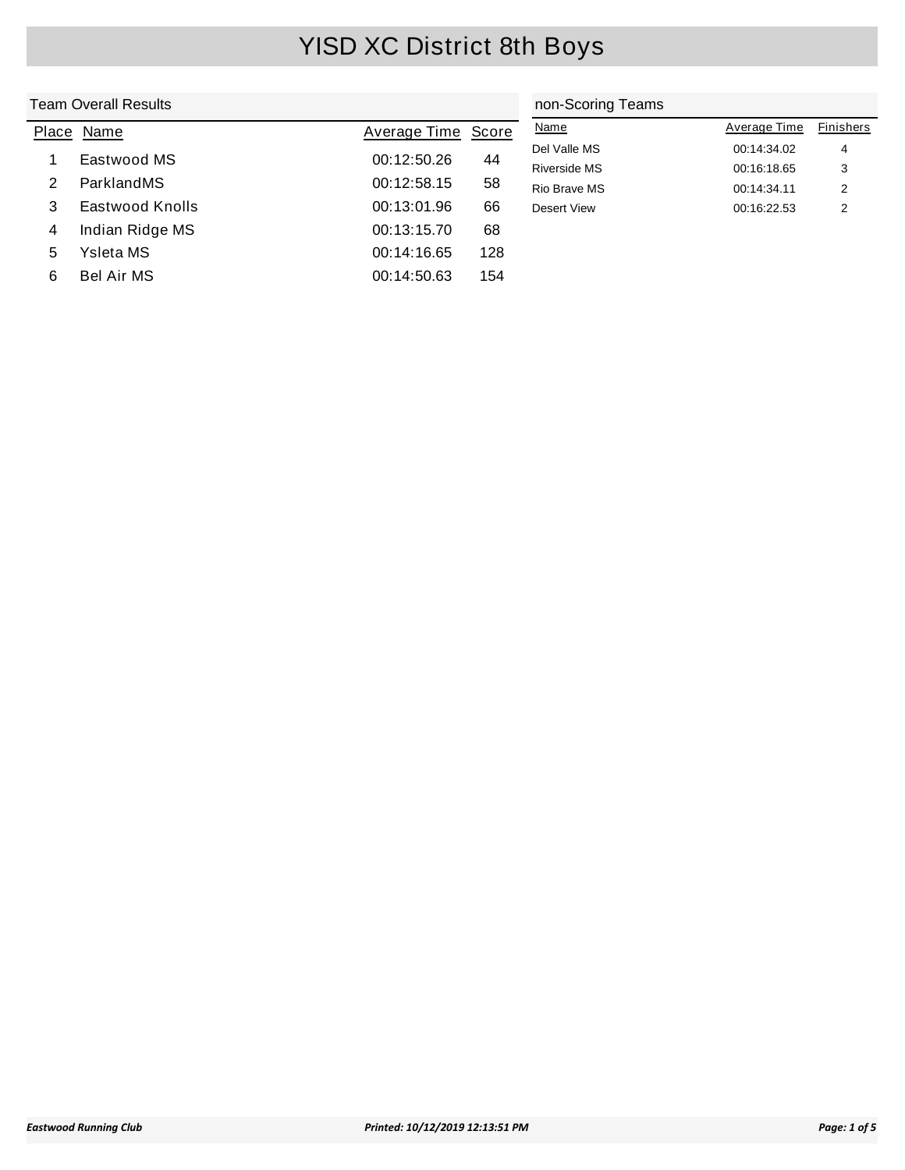|       | Team Overall Results | non-Scoring Teams  |     |                     |              |           |
|-------|----------------------|--------------------|-----|---------------------|--------------|-----------|
| Place | Name                 | Average Time Score |     | <b>Name</b>         | Average Time | Finishers |
|       | Eastwood MS          | 00:12:50.26        | 44  | Del Valle MS        | 00:14:34.02  | 4         |
|       |                      |                    |     | <b>Riverside MS</b> | 00:16:18.65  | 3         |
| 2     | ParklandMS           | 00:12:58.15        | 58  | Rio Brave MS        | 00:14:34.11  | 2         |
| 3     | Eastwood Knolls      | 00:13:01.96        | 66  | Desert View         | 00:16:22.53  | 2         |
| 4     | Indian Ridge MS      | 00:13:15.70        | 68  |                     |              |           |
| 5     | Ysleta MS            | 00:14:16.65        | 128 |                     |              |           |
| 6     | <b>Bel Air MS</b>    | 00:14:50.63        | 154 |                     |              |           |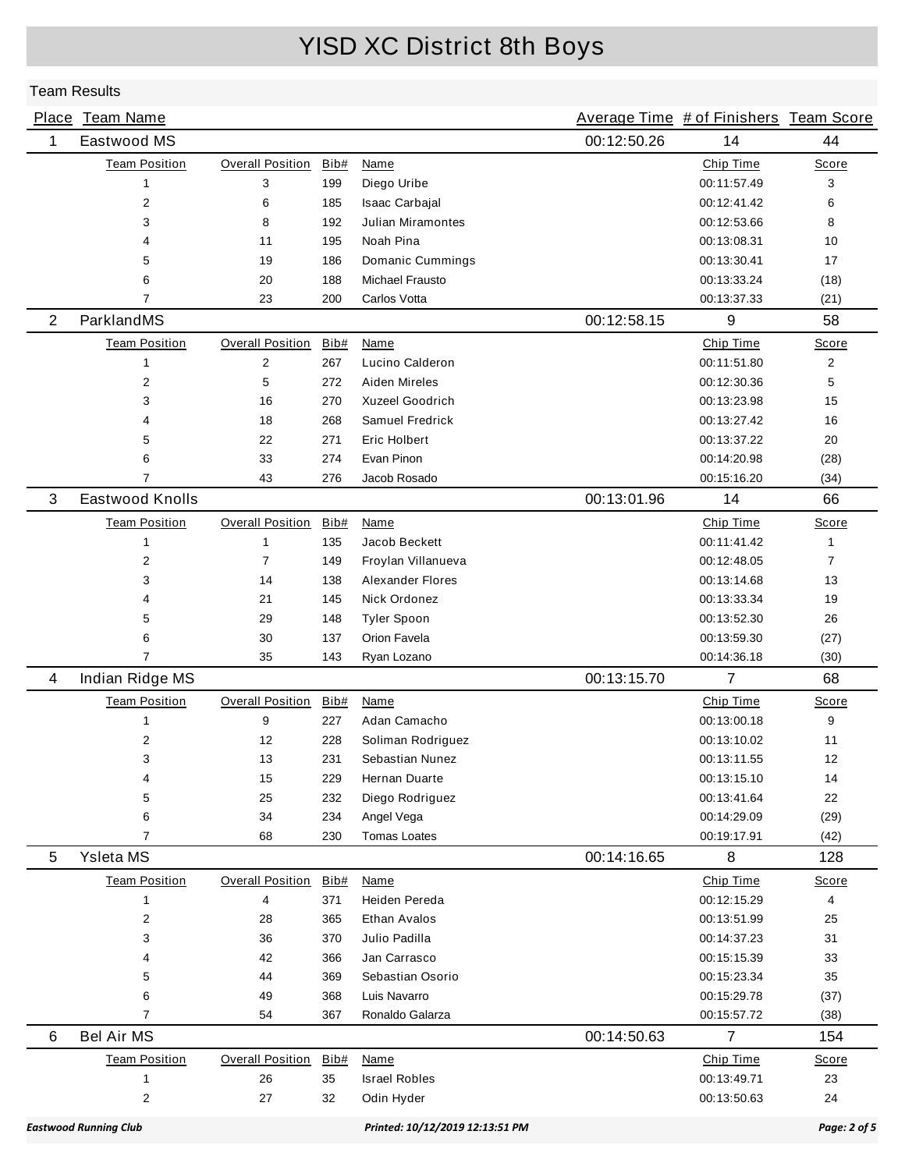|                              | Place Team Name         |                         |                                 |                          |             | Average Time # of Finishers Team Score |              |
|------------------------------|-------------------------|-------------------------|---------------------------------|--------------------------|-------------|----------------------------------------|--------------|
| 1                            | Eastwood MS             |                         |                                 |                          | 00:12:50.26 | 14                                     | 44           |
|                              | <b>Team Position</b>    | Overall Position        | Bib#                            | <b>Name</b>              |             | Chip Time                              | Score        |
|                              | $\mathbf{1}$            | 3                       | 199                             | Diego Uribe              |             | 00:11:57.49                            | 3            |
|                              | $\overline{2}$          | 6                       | 185                             | Isaac Carbajal           |             | 00:12:41.42                            | 6            |
|                              | 3                       | 8                       | 192                             | <b>Julian Miramontes</b> |             | 00:12:53.66                            | 8            |
|                              | 4                       | 11                      | 195                             | Noah Pina                |             | 00:13:08.31                            | 10           |
|                              | 5                       | 19                      | 186                             | Domanic Cummings         |             | 00:13:30.41                            | 17           |
|                              | 6                       | 20                      | 188                             | Michael Frausto          |             | 00:13:33.24                            | (18)         |
|                              | 7                       | 23                      | 200                             | Carlos Votta             |             | 00:13:37.33                            | (21)         |
| 2                            | ParklandMS              |                         |                                 |                          | 00:12:58.15 | 9                                      | 58           |
|                              | <b>Team Position</b>    | <b>Overall Position</b> | Bib#                            | <b>Name</b>              |             | Chip Time                              | Score        |
|                              | 1                       | 2                       | 267                             | Lucino Calderon          |             | 00:11:51.80                            | 2            |
|                              | $\overline{2}$          | 5                       | 272                             | Aiden Mireles            |             | 00:12:30.36                            | 5            |
|                              | 3                       | 16                      | 270                             | <b>Xuzeel Goodrich</b>   |             | 00:13:23.98                            | 15           |
|                              | 4                       | 18                      | 268                             | Samuel Fredrick          |             | 00:13:27.42                            | 16           |
|                              | 5                       | 22                      | 271                             | Eric Holbert             |             | 00:13:37.22                            | 20           |
|                              | 6                       | 33                      | 274                             | Evan Pinon               |             | 00:14:20.98                            | (28)         |
|                              | 7                       | 43                      | 276                             | Jacob Rosado             |             | 00:15:16.20                            | (34)         |
| 3                            | Eastwood Knolls         |                         |                                 |                          | 00:13:01.96 | 14                                     | 66           |
|                              | <b>Team Position</b>    | <b>Overall Position</b> | Bib#                            | Name                     |             | Chip Time                              | Score        |
|                              | $\mathbf{1}$            | 1                       | 135                             | Jacob Beckett            |             | 00:11:41.42                            | $\mathbf{1}$ |
|                              | 2                       | 7                       | 149                             | Froylan Villanueva       |             | 00:12:48.05                            | 7            |
|                              | 3                       | 14                      | 138                             | <b>Alexander Flores</b>  |             | 00:13:14.68                            | 13           |
|                              | 4                       | 21                      | 145                             | Nick Ordonez             |             | 00:13:33.34                            | 19           |
|                              | 5                       | 29                      | 148                             | <b>Tyler Spoon</b>       |             | 00:13:52.30                            | 26           |
|                              | 6                       | 30                      | 137                             | Orion Favela             |             | 00:13:59.30                            | (27)         |
|                              | $\overline{7}$          | 35                      | 143                             | Ryan Lozano              |             | 00:14:36.18                            | (30)         |
| 4                            | Indian Ridge MS         |                         |                                 |                          | 00:13:15.70 | $\overline{7}$                         | 68           |
|                              | <b>Team Position</b>    | <b>Overall Position</b> | Bib#                            | Name                     |             | Chip Time                              | Score        |
|                              | 1                       | 9                       | 227                             | Adan Camacho             |             | 00:13:00.18                            | 9            |
|                              | 2                       | 12                      | 228                             | Soliman Rodriguez        |             | 00:13:10.02                            | 11           |
|                              | 3                       | 13                      | 231                             | Sebastian Nunez          |             | 00:13:11.55                            | 12           |
|                              | 4                       | 15                      | 229                             | Hernan Duarte            |             | 00:13:15.10                            | 14           |
|                              | 5                       | 25                      | 232                             | Diego Rodriguez          |             | 00:13:41.64                            | 22           |
|                              | 6                       | 34                      | 234                             | Angel Vega               |             | 00:14:29.09                            | (29)         |
|                              | $\overline{7}$          | 68                      | 230                             | <b>Tomas Loates</b>      |             | 00:19:17.91                            | (42)         |
| 5                            | Ysleta MS               |                         |                                 |                          | 00:14:16.65 | 8                                      | 128          |
|                              | <b>Team Position</b>    | <b>Overall Position</b> | Bib#                            | Name                     |             | Chip Time                              | <b>Score</b> |
|                              | 1                       | 4                       | 371                             | Heiden Pereda            |             | 00:12:15.29                            | 4            |
|                              | 2                       | 28                      | 365                             | Ethan Avalos             |             | 00:13:51.99                            | 25           |
|                              | 3                       | 36                      | 370                             | Julio Padilla            |             | 00:14:37.23                            | 31           |
|                              | 4                       | 42                      | 366                             | Jan Carrasco             |             | 00:15:15.39                            | 33           |
|                              | 5                       | 44                      | 369                             | Sebastian Osorio         |             | 00:15:23.34                            | 35           |
|                              | 6                       | 49                      | 368                             | Luis Navarro             |             | 00:15:29.78                            | (37)         |
|                              | 7                       | 54                      | 367                             | Ronaldo Galarza          |             | 00:15:57.72                            | (38)         |
| 6                            | <b>Bel Air MS</b>       |                         |                                 |                          | 00:14:50.63 | $\overline{7}$                         | 154          |
|                              | <b>Team Position</b>    | <b>Overall Position</b> | Bib#                            | Name                     |             | Chip Time                              | Score        |
|                              | 1                       | 26                      | 35                              | <b>Israel Robles</b>     |             | 00:13:49.71                            | 23           |
|                              | $\overline{\mathbf{c}}$ | 27                      | 32                              | Odin Hyder               |             | 00:13:50.63                            | 24           |
| <b>Eastwood Running Club</b> |                         |                         | Printed: 10/12/2019 12:13:51 PM |                          |             | Page: 2 of 5                           |              |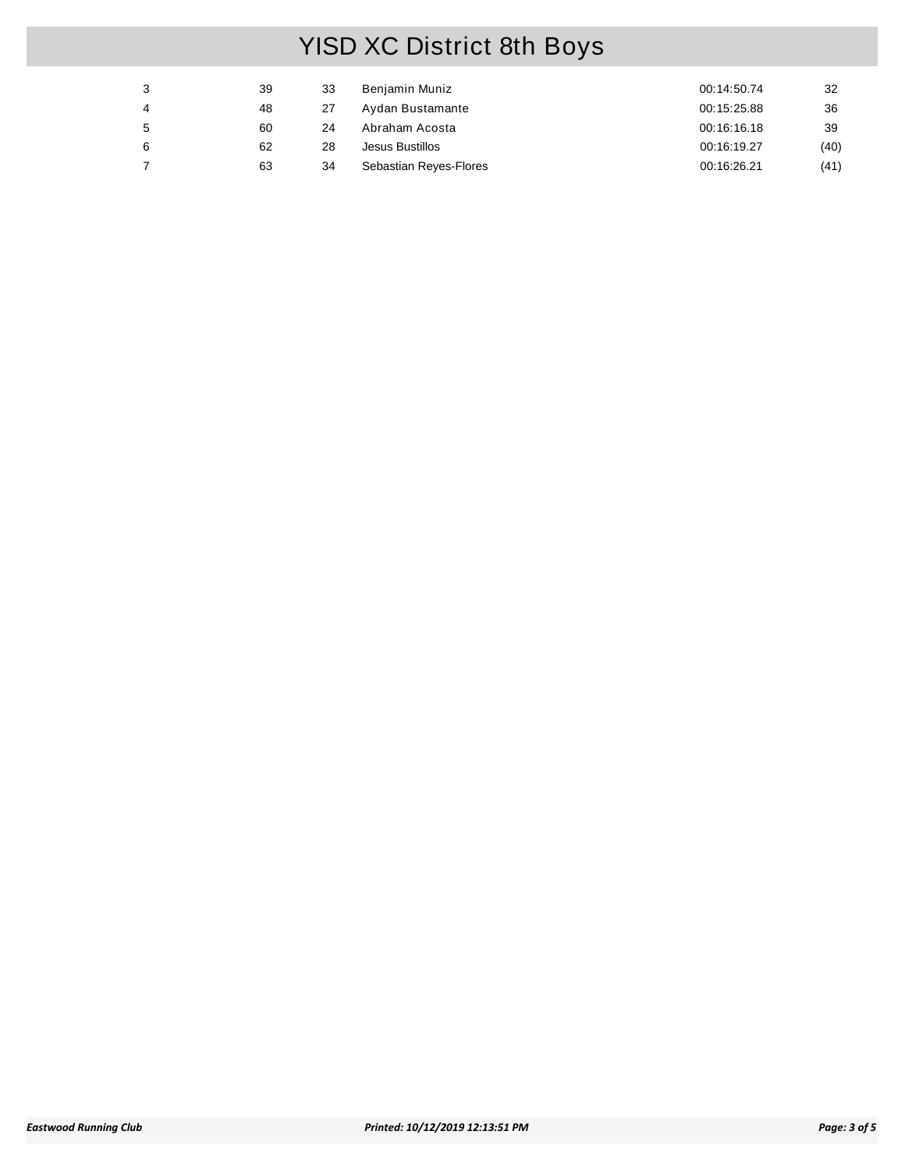| 3 | 39 | 33 | Benjamin Muniz         | 00:14:50.74 | 32   |
|---|----|----|------------------------|-------------|------|
| 4 | 48 | 27 | Aydan Bustamante       | 00:15:25.88 | 36   |
| 5 | 60 | 24 | Abraham Acosta         | 00:16:16.18 | 39   |
| 6 | 62 | 28 | Jesus Bustillos        | 00:16:19.27 | (40) |
|   | 63 | 34 | Sebastian Reyes-Flores | 00:16:26.21 | (41) |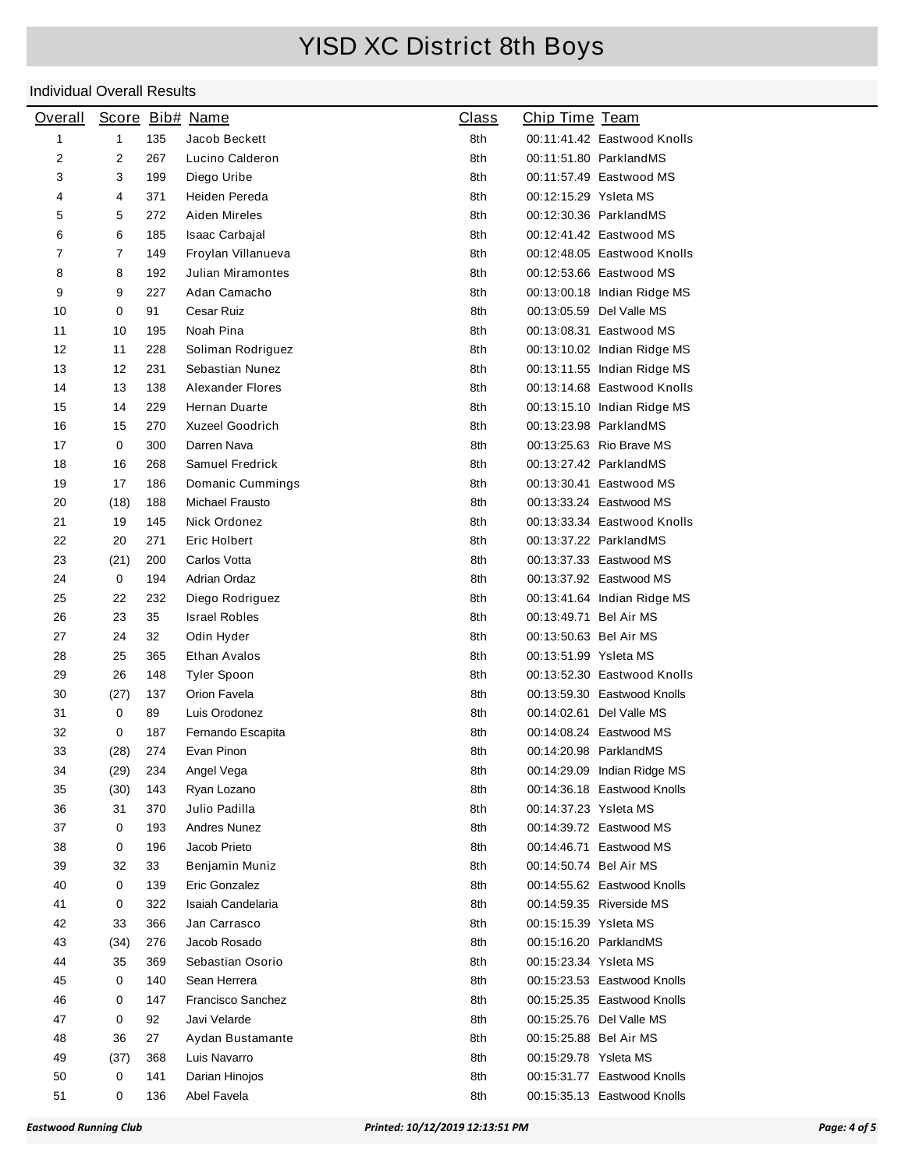| <b>Overall</b>   |                |     | Score Bib# Name          | <u>Class</u> | <b>Chip Time Team</b>       |  |
|------------------|----------------|-----|--------------------------|--------------|-----------------------------|--|
| 1                | $\mathbf{1}$   | 135 | Jacob Beckett            | 8th          | 00:11:41.42 Eastwood Knolls |  |
| $\boldsymbol{2}$ | 2              | 267 | Lucino Calderon          | 8th          | 00:11:51.80 ParklandMS      |  |
| 3                | 3              | 199 | Diego Uribe              | 8th          | 00:11:57.49 Eastwood MS     |  |
| 4                | 4              | 371 | Heiden Pereda            | 8th          | 00:12:15.29 Ysleta MS       |  |
| 5                | 5              | 272 | Aiden Mireles            | 8th          | 00:12:30.36 ParklandMS      |  |
| 6                | 6              | 185 | Isaac Carbajal           | 8th          | 00:12:41.42 Eastwood MS     |  |
| $\overline{7}$   | $\overline{7}$ | 149 | Froylan Villanueva       | 8th          | 00:12:48.05 Eastwood Knolls |  |
| 8                | 8              | 192 | <b>Julian Miramontes</b> | 8th          | 00:12:53.66 Eastwood MS     |  |
| 9                | 9              | 227 | Adan Camacho             | 8th          | 00:13:00.18 Indian Ridge MS |  |
| 10               | 0              | 91  | Cesar Ruiz               | 8th          | 00:13:05.59 Del Valle MS    |  |
| 11               | 10             | 195 | Noah Pina                | 8th          | 00:13:08.31 Eastwood MS     |  |
| 12               | 11             | 228 | Soliman Rodriguez        | 8th          | 00:13:10.02 Indian Ridge MS |  |
| 13               | 12             | 231 | Sebastian Nunez          | 8th          | 00:13:11.55 Indian Ridge MS |  |
| 14               | 13             | 138 | Alexander Flores         | 8th          | 00:13:14.68 Eastwood Knolls |  |
| 15               | 14             | 229 | Hernan Duarte            | 8th          | 00:13:15.10 Indian Ridge MS |  |
| 16               | 15             | 270 | <b>Xuzeel Goodrich</b>   | 8th          | 00:13:23.98 ParklandMS      |  |
| 17               | 0              | 300 | Darren Nava              | 8th          | 00:13:25.63 Rio Brave MS    |  |
| 18               | 16             | 268 | Samuel Fredrick          | 8th          | 00:13:27.42 ParklandMS      |  |
| 19               | 17             | 186 | Domanic Cummings         | 8th          | 00:13:30.41 Eastwood MS     |  |
| 20               | (18)           | 188 | Michael Frausto          | 8th          | 00:13:33.24 Eastwood MS     |  |
| 21               | 19             | 145 | Nick Ordonez             | 8th          | 00:13:33.34 Eastwood Knolls |  |
| 22               | 20             | 271 | Eric Holbert             | 8th          | 00:13:37.22 ParklandMS      |  |
| 23               | (21)           | 200 | Carlos Votta             | 8th          | 00:13:37.33 Eastwood MS     |  |
| 24               | 0              | 194 | Adrian Ordaz             | 8th          | 00:13:37.92 Eastwood MS     |  |
| 25               | 22             | 232 | Diego Rodriguez          | 8th          | 00:13:41.64 Indian Ridge MS |  |
| 26               | 23             | 35  | <b>Israel Robles</b>     | 8th          | 00:13:49.71 Bel Air MS      |  |
| 27               | 24             | 32  | Odin Hyder               | 8th          | 00:13:50.63 Bel Air MS      |  |
| 28               | 25             | 365 | Ethan Avalos             | 8th          | 00:13:51.99 Ysleta MS       |  |
| 29               | 26             | 148 | <b>Tyler Spoon</b>       | 8th          | 00:13:52.30 Eastwood Knolls |  |
| 30               | (27)           | 137 | Orion Favela             | 8th          | 00:13:59.30 Eastwood Knolls |  |
| 31               | 0              | 89  | Luis Orodonez            | 8th          | 00:14:02.61 Del Valle MS    |  |
| 32               | 0              | 187 | Fernando Escapita        | 8th          | 00:14:08.24 Eastwood MS     |  |
| 33               | (28)           | 274 | Evan Pinon               | 8th          | 00:14:20.98 ParklandMS      |  |
| 34               | (29)           | 234 | Angel Vega               | 8th          | 00:14:29.09 Indian Ridge MS |  |
| 35               | (30)           | 143 | Ryan Lozano              | 8th          | 00:14:36.18 Eastwood Knolls |  |
| 36               | 31             | 370 | Julio Padilla            | 8th          | 00:14:37.23 Ysleta MS       |  |
| 37               | 0              | 193 | <b>Andres Nunez</b>      | 8th          | 00:14:39.72 Eastwood MS     |  |
| 38               | 0              | 196 | Jacob Prieto             | 8th          | 00:14:46.71 Eastwood MS     |  |
| 39               | 32             | 33  | Benjamin Muniz           | 8th          | 00:14:50.74 Bel Air MS      |  |
| 40               | 0              | 139 | Eric Gonzalez            | 8th          | 00:14:55.62 Eastwood Knolls |  |
| 41               | 0              | 322 | Isaiah Candelaria        | 8th          | 00:14:59.35 Riverside MS    |  |
| 42               | 33             | 366 | Jan Carrasco             | 8th          | 00:15:15.39 Ysleta MS       |  |
| 43               | (34)           | 276 | Jacob Rosado             | 8th          | 00:15:16.20 ParklandMS      |  |
| 44               | 35             | 369 | Sebastian Osorio         | 8th          | 00:15:23.34 Ysleta MS       |  |
| 45               | 0              | 140 | Sean Herrera             | 8th          | 00:15:23.53 Eastwood Knolls |  |
| 46               | 0              | 147 | <b>Francisco Sanchez</b> | 8th          | 00:15:25.35 Eastwood Knolls |  |
| 47               | 0              | 92  | Javi Velarde             | 8th          | 00:15:25.76 Del Valle MS    |  |
| 48               | 36             | 27  | Aydan Bustamante         | 8th          | 00:15:25.88 Bel Air MS      |  |
| 49               | (37)           | 368 | Luis Navarro             | 8th          | 00:15:29.78 Ysleta MS       |  |
| 50               | 0              | 141 | Darian Hinojos           | 8th          | 00:15:31.77 Eastwood Knolls |  |
| 51               | 0              | 136 | Abel Favela              | 8th          | 00:15:35.13 Eastwood Knolls |  |
|                  |                |     |                          |              |                             |  |